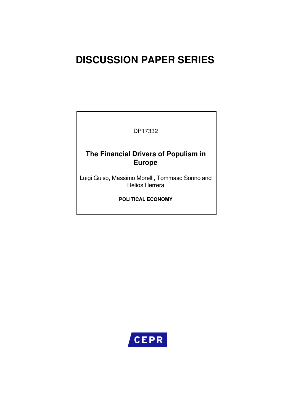# **DISCUSSION PAPER SERIES**

DP17332

## **The Financial Drivers of Populism in Europe**

Luigi Guiso, Massimo Morelli, Tommaso Sonno and Helios Herrera

**POLITICAL ECONOMY**

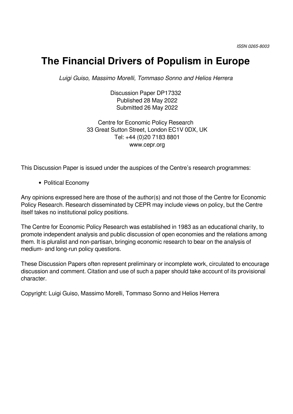# **The Financial Drivers of Populism in Europe**

*Luigi Guiso, Massimo Morelli, Tommaso Sonno and Helios Herrera*

Discussion Paper DP17332 Published 28 May 2022 Submitted 26 May 2022

Centre for Economic Policy Research 33 Great Sutton Street, London EC1V 0DX, UK Tel: +44 (0)20 7183 8801 www.cepr.org

This Discussion Paper is issued under the auspices of the Centre's research programmes:

• Political Economy

Any opinions expressed here are those of the author(s) and not those of the Centre for Economic Policy Research. Research disseminated by CEPR may include views on policy, but the Centre itself takes no institutional policy positions.

The Centre for Economic Policy Research was established in 1983 as an educational charity, to promote independent analysis and public discussion of open economies and the relations among them. It is pluralist and non-partisan, bringing economic research to bear on the analysis of medium- and long-run policy questions.

These Discussion Papers often represent preliminary or incomplete work, circulated to encourage discussion and comment. Citation and use of such a paper should take account of its provisional character.

Copyright: Luigi Guiso, Massimo Morelli, Tommaso Sonno and Helios Herrera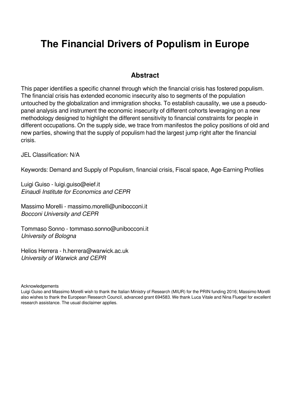# **The Financial Drivers of Populism in Europe**

## **Abstract**

This paper identifies a specific channel through which the financial crisis has fostered populism. The financial crisis has extended economic insecurity also to segments of the population untouched by the globalization and immigration shocks. To establish causality, we use a pseudopanel analysis and instrument the economic insecurity of different cohorts leveraging on a new methodology designed to highlight the different sensitivity to financial constraints for people in different occupations. On the supply side, we trace from manifestos the policy positions of old and new parties, showing that the supply of populism had the largest jump right after the financial crisis.

JEL Classification: N/A

Keywords: Demand and Supply of Populism, financial crisis, Fiscal space, Age-Earning Profiles

Luigi Guiso - luigi.guiso@eief.it *Einaudi Institute for Economics and CEPR*

Massimo Morelli - massimo.morelli@unibocconi.it *Bocconi University and CEPR*

Tommaso Sonno - tommaso.sonno@unibocconi.it *University of Bologna*

Helios Herrera - h.herrera@warwick.ac.uk *University of Warwick and CEPR*

**Acknowledgements** 

Luigi Guiso and Massimo Morelli wish to thank the Italian Ministry of Research (MIUR) for the PRIN funding 2016; Massimo Morelli also wishes to thank the European Research Council, advanced grant 694583. We thank Luca Vitale and Nina Fluegel for excellent research assistance. The usual disclaimer applies.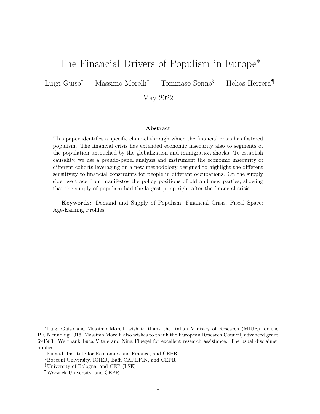## The Financial Drivers of Populism in Europe<sup>∗</sup>

Luigi Guiso† Massimo Morelli‡ Tommaso Sonno§ Helios Herrera¶

May 2022

#### Abstract

This paper identifies a specific channel through which the financial crisis has fostered populism. The financial crisis has extended economic insecurity also to segments of the population untouched by the globalization and immigration shocks. To establish causality, we use a pseudo-panel analysis and instrument the economic insecurity of different cohorts leveraging on a new methodology designed to highlight the different sensitivity to financial constraints for people in different occupations. On the supply side, we trace from manifestos the policy positions of old and new parties, showing that the supply of populism had the largest jump right after the financial crisis.

Keywords: Demand and Supply of Populism; Financial Crisis; Fiscal Space; Age-Earning Profiles.

<sup>∗</sup>Luigi Guiso and Massimo Morelli wish to thank the Italian Ministry of Research (MIUR) for the PRIN funding 2016; Massimo Morelli also wishes to thank the European Research Council, advanced grant 694583. We thank Luca Vitale and Nina Fluegel for excellent research assistance. The usual disclaimer applies.

<sup>†</sup>Einaudi Institute for Economics and Finance, and CEPR

<sup>‡</sup>Bocconi University, IGIER, Baffi CAREFIN, and CEPR

<sup>§</sup>University of Bologna, and CEP (LSE)

<sup>¶</sup>Warwick University, and CEPR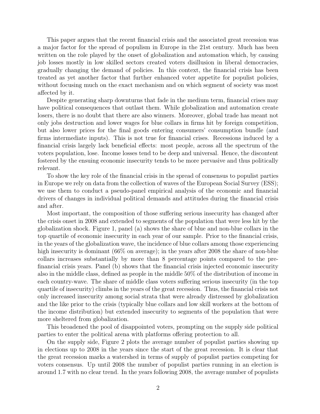This paper argues that the recent financial crisis and the associated great recession was a major factor for the spread of populism in Europe in the 21st century. Much has been written on the role played by the onset of globalization and automation which, by causing job losses mostly in low skilled sectors created voters disillusion in liberal democracies, gradually changing the demand of policies. In this context, the financial crisis has been treated as yet another factor that further enhanced voter appetite for populist policies, without focusing much on the exact mechanism and on which segment of society was most affected by it.

Despite generating sharp downturns that fade in the medium term, financial crises may have political consequences that outlast them. While globalization and automation create losers, there is no doubt that there are also winners. Moreover, global trade has meant not only jobs destruction and lower wages for blue collars in firms hit by foreign competition, but also lower prices for the final goods entering consumers' consumption bundle (and firms intermediate inputs). This is not true for financial crises. Recessions induced by a financial crisis largely lack beneficial effects: most people, across all the spectrum of the voters population, lose. Income losses tend to be deep and universal. Hence, the discontent fostered by the ensuing economic insecurity tends to be more pervasive and thus politically relevant.

To show the key role of the financial crisis in the spread of consensus to populist parties in Europe we rely on data from the collection of waves of the European Social Survey (ESS); we use them to conduct a pseudo-panel empirical analysis of the economic and financial drivers of changes in individual political demands and attitudes during the financial crisis and after.

Most important, the composition of those suffering serious insecurity has changed after the crisis onset in 2008 and extended to segments of the population that were less hit by the globalization shock. Figure 1, panel (a) shows the share of blue and non-blue collars in the top quartile of economic insecurity in each year of our sample. Prior to the financial crisis, in the years of the globalization wave, the incidence of blue collars among those experiencing high insecurity is dominant (66% on average); in the years after 2008 the share of non-blue collars increases substantially by more than 8 percentage points compared to the prefinancial crisis years. Panel (b) shows that the financial crisis injected economic insecurity also in the middle class, defined as people in the middle 50% of the distribution of income in each country-wave. The share of middle class voters suffering serious insecurity (in the top quartile of insecurity) climbs in the years of the great recession. Thus, the financial crisis not only increased insecurity among social strata that were already distressed by globalization and the like prior to the crisis (typically blue collars and low skill workers at the bottom of the income distribution) but extended insecurity to segments of the population that were more sheltered from globalization.

This broadened the pool of disappointed voters, prompting on the supply side political parties to enter the political arena with platforms offering protection to all.

On the supply side, Figure 2 plots the average number of populist parties showing up in elections up to 2008 in the years since the start of the great recession. It is clear that the great recession marks a watershed in terms of supply of populist parties competing for voters consensus. Up until 2008 the number of populist parties running in an election is around 1.7 with no clear trend. In the years following 2008, the average number of populists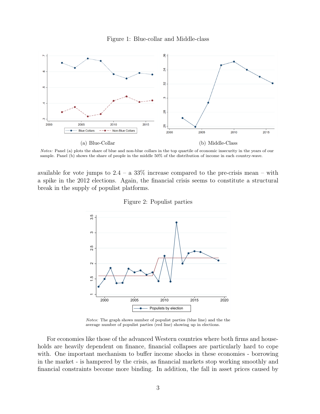



Notes: Panel (a) plots the share of blue and non-blue collars in the top quartile of economic insecurity in the years of our sample. Panel (b) shows the share of people in the middle 50% of the distribution of income in each country-wave.

available for vote jumps to  $2.4 - a.33\%$  increase compared to the pre-crisis mean – with a spike in the 2012 elections. Again, the financial crisis seems to constitute a structural break in the supply of populist platforms.



Figure 2: Populist parties

Notes: The graph shows number of populist parties (blue line) and the the average number of populist parties (red line) showing up in elections.

For economies like those of the advanced Western countries where both firms and households are heavily dependent on finance, financial collapses are particularly hard to cope with. One important mechanism to buffer income shocks in these economies - borrowing in the market - is hampered by the crisis, as financial markets stop working smoothly and financial constraints become more binding. In addition, the fall in asset prices caused by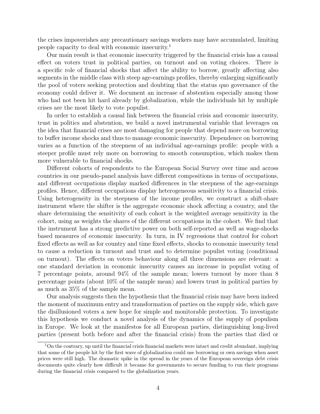the crises impoverishes any precautionary savings workers may have accumulated, limiting people capacity to deal with economic insecurity.<sup>1</sup>

Our main result is that economic insecurity triggered by the financial crisis has a causal effect on voters trust in political parties, on turnout and on voting choices. There is a specific role of financial shocks that affect the ability to borrow, greatly affecting also segments in the middle class with steep age-earnings profiles, thereby enlarging significantly the pool of voters seeking protection and doubting that the status quo governance of the economy could deliver it. We document an increase of abstention especially among those who had not been hit hard already by globalization, while the individuals hit by multiple crises are the most likely to vote populist.

In order to establish a causal link between the financial crisis and economic insecurity, trust in politics and abstention, we build a novel instrumental variable that leverages on the idea that financial crises are most damaging for people that depend more on borrowing to buffer income shocks and thus to manage economic insecurity. Dependence on borrowing varies as a function of the steepness of an individual age-earnings profile: people with a steeper profile must rely more on borrowing to smooth consumption, which makes them more vulnerable to financial shocks.

Different cohorts of respondents to the European Social Survey over time and across countries in our pseudo-panel analysis have different compositions in terms of occupations, and different occupations display marked differences in the steepness of the age-earnings profiles. Hence, different occupations display heterogeneous sensitivity to a financial crisis. Using heterogeneity in the steepness of the income profiles, we construct a shift-share instrument where the shifter is the aggregate economic shock affecting a country, and the share determining the sensitivity of each cohort is the weighted average sensitivity in the cohort, using as weights the shares of the different occupations in the cohort. We find that the instrument has a strong predictive power on both self-reported as well as wage-shocks based measures of economic insecurity. In turn, in IV regressions that control for cohort fixed effects as well as for country and time fixed effects, shocks to economic insecurity tend to cause a reduction in turnout and trust and to determine populist voting (conditional on turnout). The effects on voters behaviour along all three dimensions are relevant: a one standard deviation in economic insecurity causes an increase in populist voting of 7 percentage points, around 94% of the sample mean; lowers turnout by more than 8 percentage points (about 10% of the sample mean) and lowers trust in political parties by as much as 35% of the sample mean.

Our analysis suggests then the hypothesis that the financial crisis may have been indeed the moment of maximum entry and transformation of parties on the supply side, which gave the disillusioned voters a new hope for simple and monitorable protection. To investigate this hypothesis we conduct a novel analysis of the dynamics of the supply of populism in Europe. We look at the manifestos for all European parties, distinguishing long-lived parties (present both before and after the financial crisis) from the parties that died or

 $1<sup>1</sup>$ On the contrary, up until the financial crisis financial markets were intact and credit abundant, implying that some of the people hit by the first wave of globalization could use borrowing or own savings when asset prices were still high. The dramatic spike in the spread in the years of the European sovereign debt crisis documents quite clearly how difficult it became for governments to secure funding to run their programs during the financial crisis compared to the globalization years.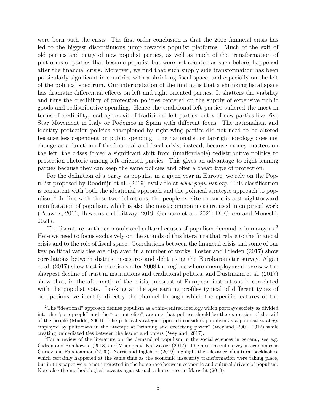were born with the crisis. The first order conclusion is that the 2008 financial crisis has led to the biggest discontinuous jump towards populist platforms. Much of the exit of old parties and entry of new populist parties, as well as much of the transformation of platforms of parties that became populist but were not counted as such before, happened after the financial crisis. Moreover, we find that such supply side transformation has been particularly significant in countries with a shrinking fiscal space, and especially on the left of the political spectrum. Our interpretation of the finding is that a shrinking fiscal space has dramatic differential effects on left and right oriented parties. It shatters the viability and thus the credibility of protection policies centered on the supply of expensive public goods and redistributive spending. Hence the traditional left parties suffered the most in terms of credibility, leading to exit of traditional left parties, entry of new parties like Five Star Movement in Italy or Podemos in Spain with different focus. The nationalism and identity protection policies championed by right-wing parties did not need to be altered because less dependent on public spending. The nationalist or far-right ideology does not change as a function of the financial and fiscal crisis; instead, because money matters on the left, the crises forced a significant shift from (unaffordable) redistributive politics to protection rhetoric among left oriented parties. This gives an advantage to right leaning parties because they can keep the same policies and offer a cheap type of protection.

For the definition of a party as populist in a given year in Europe, we rely on the PopuList proposed by Rooduijn et al. (2019) available at www.popu-list.org. This classification is consistent with both the ideational approach and the political strategic approach to populism.<sup>2</sup> In line with these two definitions, the people-vs-elite rhetoric is a straightforward manifestation of populism, which is also the most common measure used in empirical work (Pauwels, 2011; Hawkins and Littvay, 2019; Gennaro et al., 2021; Di Cocco and Monechi, 2021).

The literature on the economic and cultural causes of populism demand is humongous.<sup>3</sup> Here we need to focus exclusively on the strands of this literature that relate to the financial crisis and to the role of fiscal space. Correlations between the financial crisis and some of our key political variables are displayed in a number of works: Foster and Frieden (2017) show correlations between distrust measures and debt using the Eurobarometer survey, Algan et al. (2017) show that in elections after 2008 the regions where unemployment rose saw the sharpest decline of trust in institutions and traditional politics, and Dustmann et al. (2017) show that, in the aftermath of the crisis, mistrust of European institutions is correlated with the populist vote. Looking at the age earning profiles typical of different types of occupations we identify directly the channel through which the specific features of the

<sup>2</sup>The "ideational" approach defines populism as a thin-centred ideology which portrays society as divided into the "pure people" and the "corrupt elite", arguing that politics should be the expression of the will of the people (Mudde, 2004). The political-strategic approach considers populism as a political strategy employed by politicians in the attempt at "winning and exercising power" (Weyland, 2001, 2012) while creating unmediated ties between the leader and voters (Weyland, 2017).

<sup>&</sup>lt;sup>3</sup>For a review of the literature on the demand of populism in the social sciences in general, see e.g. Gidron and Bonikowski (2013) and Mudde and Kaltwasser (2017). The most recent survey in economics is Guriev and Papaioannou (2020). Norris and Inglehart (2019) highlight the relevance of cultural backlashes, which certainly happened at the same time as the economic insecurity transformation were taking place, but in this paper we are not interested in the horse-race between economic and cultural drivers of populism. Note also the methodological caveats against such a horse race in Margalit (2019).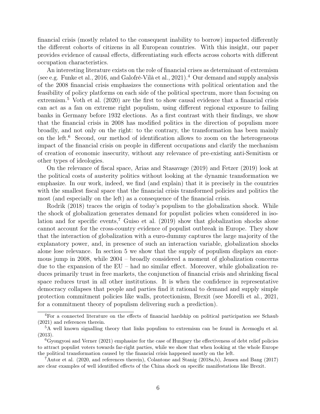financial crisis (mostly related to the consequent inability to borrow) impacted differently the different cohorts of citizens in all European countries. With this insight, our paper provides evidence of causal effects, differentiating such effects across cohorts with different occupation characteristics.

An interesting literature exists on the role of financial crises as determinant of extremism (see e.g. Funke et al., 2016, and Galofré-Vilà et al., 2021).<sup>4</sup> Our demand and supply analysis of the 2008 financial crisis emphasizes the connections with political orientation and the feasibility of policy platforms on each side of the political spectrum, more than focusing on extremism.<sup>5</sup> Voth et al.  $(2020)$  are the first to show causal evidence that a financial crisis can act as a fan on extreme right populism, using different regional exposure to failing banks in Germany before 1932 elections. As a first contrast with their findings, we show that the financial crisis in 2008 has modified politics in the direction of populism more broadly, and not only on the right: to the contrary, the transformation has been mainly on the left.<sup>6</sup> Second, our method of identification allows to zoom on the heterogeneous impact of the financial crisis on people in different occupations and clarify the mechanism of creation of economic insecurity, without any relevance of pre-existing anti-Semitism or other types of ideologies.

On the relevance of fiscal space, Arias and Stasavage (2019) and Fetzer (2019) look at the political costs of austerity politics without looking at the dynamic transformation we emphasize. In our work, indeed, we find (and explain) that it is precisely in the countries with the smallest fiscal space that the financial crisis transformed policies and politics the most (and especially on the left) as a consequence of the financial crisis.

Rodrik (2018) traces the origin of today's populism to the globalization shock. While the shock of globalization generates demand for populist policies when considered in isolation and for specific events,<sup>7</sup> Guiso et al.  $(2019)$  show that globalization shocks alone cannot account for the cross-country evidence of populist outbreak in Europe. They show that the interaction of globalization with a euro-dummy captures the large majority of the explanatory power, and, in presence of such an interaction variable, globalization shocks alone lose relevance. In section 5 we show that the supply of populism displays an enormous jump in 2008, while 2004 – broadly considered a moment of globalization concerns due to the expansion of the EU – had no similar effect. Moreover, while globalization reduces primarily trust in free markets, the conjunction of financial crisis and shrinking fiscal space reduces trust in all other institutions. It is when the confidence in representative democracy collapses that people and parties find it rational to demand and supply simple protection commitment policies like walls, protectionism, Brexit (see Morelli et al., 2021, for a commitment theory of populism delivering such a prediction).

<sup>4</sup>For a connected literature on the effects of financial hardship on political participation see Schaub (2021) and references therein.

<sup>5</sup>A well known signalling theory that links populism to extremism can be found in Acemoglu et al. (2013).

 ${}^6$ Gyongyosi and Verner (2021) emphasize for the case of Hungary the effectiveness of debt relief policies to attract populist voters towards far-right parties, while we show that when looking at the whole Europe the political transformation caused by the financial crisis happened mostly on the left.

<sup>7</sup>Autor et al. (2020, and references therein), Colantone and Stanig (2018a,b), Jensen and Bang (2017) are clear examples of well identified effects of the China shock on specific manifestations like Brexit.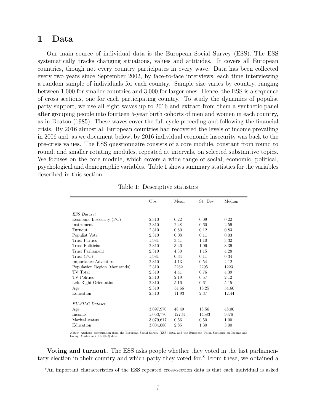## 1 Data

Our main source of individual data is the European Social Survey (ESS). The ESS systematically tracks changing situations, values and attitudes. It covers all European countries, though not every country participates in every wave. Data has been collected every two years since September 2002, by face-to-face interviews, each time interviewing a random sample of individuals for each country. Sample size varies by country, ranging between 1,000 for smaller countries and 3,000 for larger ones. Hence, the ESS is a sequence of cross sections, one for each participating country. To study the dynamics of populist party support, we use all eight waves up to 2016 and extract from them a synthetic panel after grouping people into fourteen 5-year birth cohorts of men and women in each country, as in Deaton (1985). These waves cover the full cycle preceding and following the financial crisis. By 2016 almost all European countries had recovered the levels of income prevailing in 2006 and, as we document below, by 2016 individual economic insecurity was back to the pre-crisis values. The ESS questionnaire consists of a core module, constant from round to round, and smaller rotating modules, repeated at intervals, on selected substantive topics. We focuses on the core module, which covers a wide range of social, economic, political, psychological and demographic variables. Table 1 shows summary statistics for the variables described in this section.

|                               | Obs.      | Mean  | St. Dev | Median |
|-------------------------------|-----------|-------|---------|--------|
|                               |           |       |         |        |
| <b>ESS</b> Dataset            |           |       |         |        |
| Economic Insecurity (PC)      | 2,310     | 0.22  | 0.09    | 0.22   |
| Instrument                    | 2,310     | 2.48  | 0.60    | 2.59   |
| Turnout                       | 2,310     | 0.80  | 0.12    | 0.83   |
| Populist Vote                 | 2,310     | 0.08  | 0.11    | 0.03   |
| Trust Parties                 | 1,981     | 3.41  | 1.10    | 3.32   |
| Trust Politician              | 2,310     | 3.46  | 1.06    | 3.39   |
| Trust Parliament              | 2,310     | 4.30  | 1.15    | 4.28   |
| Trust (PC)                    | 1,981     | 0.34  | 0.11    | 0.34   |
| Importance Adventure          | 2,310     | 4.13  | 0.54    | 4.12   |
| Population Region (thousands) | 2,310     | 2262  | 2295    | 1223   |
| TV Total                      | 2,310     | 4.41  | 0.76    | 4.39   |
| <b>TV</b> Politics            | 2,310     | 2.19  | 0.57    | 2.12   |
| Left-Right Orientation        | 2,310     | 5.16  | 0.61    | 5.15   |
| Age                           | 2,310     | 54.66 | 16.25   | 54.60  |
| Education                     | 2,310     | 11.93 | 2.37    | 12.44  |
|                               |           |       |         |        |
| EU-SILC Dataset               |           |       |         |        |
| Age                           | 3,097,970 | 48.49 | 18.56   | 48.00  |
| Income                        | 1,053,770 | 12734 | 14583   | 9376   |
| Marital status                | 3,079,617 | 0.56  | 0.50    | 1.00   |
| Education                     | 3,004,680 | 2.85  | 1.30    | 3.00   |

Table 1: Descriptive statistics

Notes: Authors' computation from the European Social Survey (ESS) data, and the European Union Statistics on Income and Living Conditions (EU-SILC) data.

Voting and turnout. The ESS asks people whether they voted in the last parliamentary election in their country and which party they voted for.<sup>8</sup> From these, we obtained a

<sup>8</sup>An important characteristics of the ESS repeated cross-section data is that each individual is asked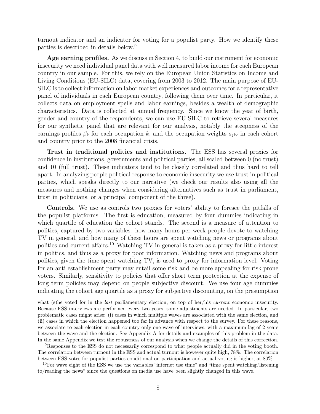turnout indicator and an indicator for voting for a populist party. How we identify these parties is described in details below.<sup>9</sup>

Age earning profiles. As we discuss in Section 4, to build our instrument for economic insecurity we need individual panel data with well measured labor income for each European country in our sample. For this, we rely on the European Union Statistics on Income and Living Conditions (EU-SILC) data, covering from 2003 to 2012. The main purpose of EU-SILC is to collect information on labor market experiences and outcomes for a representative panel of individuals in each European country, following them over time. In particular, it collects data on employment spells and labor earnings, besides a wealth of demographic characteristics. Data is collected at annual frequency. Since we know the year of birth, gender and country of the respondents, we can use EU-SILC to retrieve several measures for our synthetic panel that are relevant for our analysis, notably the steepness of the earnings profiles  $\beta_k$  for each occupation k, and the occupation weights  $s_{jkc}$  in each cohort and country prior to the 2008 financial crisis.

Trust in traditional politics and institutions. The ESS has several proxies for confidence in institutions, governments and political parties, all scaled between 0 (no trust) and 10 (full trust). These indicators tend to be closely correlated and thus hard to tell apart. In analyzing people political response to economic insecurity we use trust in political parties, which speaks directly to our narrative (we check our results also using all the measures and nothing changes when considering alternatives such as trust in parliament, trust in politicians, or a principal component of the three).

Controls. We use as controls two proxies for voters' ability to foresee the pitfalls of the populist platforms. The first is education, measured by four dummies indicating in which quartile of education the cohort stands. The second is a measure of attention to politics, captured by two variables: how many hours per week people devote to watching TV in general, and how many of these hours are spent watching news or programs about politics and current affairs.<sup>10</sup> Watching TV in general is taken as a proxy for little interest in politics, and thus as a proxy for poor information. Watching news and programs about politics, given the time spent watching TV, is used to proxy for information level. Voting for an anti establishment party may entail some risk and be more appealing for risk prone voters. Similarly, sensitivity to policies that offer short term protection at the expense of long term policies may depend on people subjective discount. We use four age dummies indicating the cohort age quartile as a proxy for subjective discounting, on the presumption

what (s)he voted for in the *last* parliamentary election, on top of her/his *current* economic insecurity. Because ESS interviews are performed every two years, some adjustments are needed. In particular, two problematic cases might arise: (i) cases in which multiple waves are associated with the same election, and (ii) cases in which the election happened too far in advance with respect to the survey. For these reasons, we associate to each election in each country only one wave of interviews, with a maximum lag of 2 years between the wave and the election. See Appendix A for details and examples of this problem in the data. In the same Appendix we test the robustness of our analysis when we change the details of this correction.

<sup>9</sup>Responses to the ESS do not necessarily correspond to what people actually did in the voting booth. The correlation between turnout in the ESS and actual turnout is however quite high, 78%. The correlation between ESS votes for populist parties conditional on participation and actual voting is higher, at 80%.

 $10$ For wave eight of the ESS we use the variables "internet use time" and "time spent watching/listening to/reading the news" since the questions on media use have been slightly changed in this wave.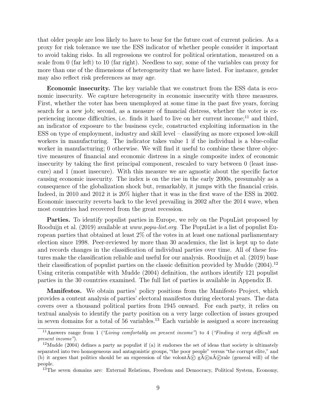that older people are less likely to have to bear for the future cost of current policies. As a proxy for risk tolerance we use the ESS indicator of whether people consider it important to avoid taking risks. In all regressions we control for political orientation, measured on a scale from 0 (far left) to 10 (far right). Needless to say, some of the variables can proxy for more than one of the dimensions of heterogeneity that we have listed. For instance, gender may also reflect risk preferences as may age.

Economic insecurity. The key variable that we construct from the ESS data is economic insecurity. We capture heterogeneity in economic insecurity with three measures. First, whether the voter has been unemployed at some time in the past five years, forcing search for a new job; second, as a measure of financial distress, whether the voter is experiencing income difficulties, i.e. finds it hard to live on her current income; $^{11}$  and third, an indicator of exposure to the business cycle, constructed exploiting information in the ESS on type of employment, industry and skill level – classifying as more exposed low-skill workers in manufacturing. The indicator takes value 1 if the individual is a blue-collar worker in manufacturing; 0 otherwise. We will find it useful to combine these three objective measures of financial and economic distress in a single composite index of economic insecurity by taking the first principal component, rescaled to vary between 0 (least insecure) and 1 (most insecure). With this measure we are agnostic about the specific factor causing economic insecurity. The index is on the rise in the early 2000s, presumably as a consequence of the globalization shock but, remarkably, it jumps with the financial crisis. Indeed, in 2010 and 2012 it is 20% higher that it was in the first wave of the ESS in 2002. Economic insecurity reverts back to the level prevailing in 2002 after the 2014 wave, when most countries had recovered from the great recession.

Parties. To identify populist parties in Europe, we rely on the PopuList proposed by Rooduijn et al. (2019) available at *www.popu-list.org*. The PopuList is a list of populist European parties that obtained at least 2% of the votes in at least one national parliamentary election since 1998. Peer-reviewed by more than 30 academics, the list is kept up to date and records changes in the classification of individual parties over time. All of these features make the classification reliable and useful for our analysis. Rooduijn et al. (2019) base their classification of populist parties on the classic definition provided by Mudde  $(2004).<sup>12</sup>$ Using criteria compatible with Mudde (2004) definition, the authors identify 121 populist parties in the 30 countries examined. The full list of parties is available in Appendix B.

Manifestos. We obtain parties' policy positions from the Manifesto Project, which provides a content analysis of parties' electoral manifestos during electoral years. The data covers over a thousand political parties from 1945 onward. For each party, it relies on textual analysis to identify the party position on a very large collection of issues grouped in seven domains for a total of  $56$  variables.<sup>13</sup> Each variable is assigned a score increasing

<sup>&</sup>lt;sup>11</sup>Answers range from 1 ("Living comfortably on present income") to 4 ("Finding it very difficult on present income").

 $12$ Mudde (2004) defines a party as populist if (a) it endorses the set of ideas that society is ultimately separated into two homogeneous and antagonistic groups, "the poor people" versus "the corrupt elite," and (b) it argues that politics should be an expression of the volont $\tilde{A}(\tilde{c})$  g $\tilde{A}(\tilde{c})$  rale (general will) of the people.

<sup>&</sup>lt;sup>13</sup>The seven domains are: External Relations, Freedom and Democracy, Political System, Economy,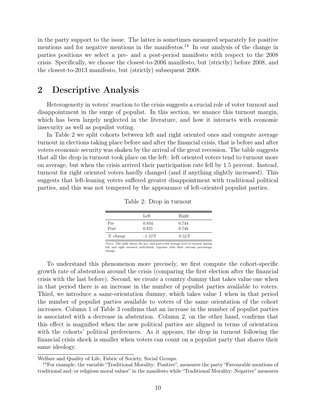in the party support to the issue. The latter is sometimes measured separately for positive mentions and for negative mentions in the manifestos.<sup>14</sup> In our analysis of the change in parties positions we select a pre- and a post-period manifesto with respect to the 2008 crisis. Specifically, we choose the closest-to-2006 manifesto, but (strictly) before 2008, and the closest-to-2013 manifesto, but (strictly) subsequent 2008.

## 2 Descriptive Analysis

Heterogeneity in voters' reaction to the crisis suggests a crucial role of voter turnout and disappointment in the surge of populist. In this section, we nuance this turnout margin, which has been largely neglected in the literature, and how it interacts with economic insecurity as well as populist voting.

In Table 2 we split cohorts between left and right oriented ones and compute average turnout in elections taking place before and after the financial crisis, that is before and after voters economic security was shaken by the arrival of the great recession. The table suggests that all the drop in turnout took place on the left: left oriented voters tend to turnout more on average, but when the crisis arrived their participation rate fell by 1.5 percent. Instead, turnout for right oriented voters hardly changed (and if anything slightly increased). This suggests that left-leaning voters suffered greater disappointment with traditional political parties, and this was not tempered by the appearance of left-oriented populist parties.

|             | Left           | Right          |  |
|-------------|----------------|----------------|--|
| Pre<br>Post | 0.834<br>0.821 | 0.744<br>0.746 |  |
| % change    | $-1.52\%$      | 0.24%          |  |

|  |  | Table 2: Drop in turnout |
|--|--|--------------------------|
|--|--|--------------------------|

Notes: The table shows the pre- and post-crisis average level of turnout among left and right oriented individuals, together with their relevant percentage change.

To understand this phenomenon more precisely, we first compute the cohort-specific growth rate of abstention around the crisis (comparing the first election after the financial crisis with the last before). Second, we create a country dummy that takes value one when in that period there is an increase in the number of populist parties available to voters. Third, we introduce a same-orientation dummy, which takes value 1 when in that period the number of populist parties available to voters of the same orientation of the cohort increases. Column 1 of Table 3 confirms that an increase in the number of populist parties is associated with a decrease in abstention. Column 2, on the other hand, confirms that this effect is magnified when the new political parties are aligned in terms of orientation with the cohorts' political preferences. As it appears, the drop in turnout following the financial crisis shock is smaller when voters can count on a populist party that shares their same ideology.

Welfare and Quality of Life, Fabric of Society, Social Groups.

<sup>&</sup>lt;sup>14</sup>For example, the variable "Traditional Morality: Positive", measures the party "Favourable mentions of traditional and/or religious moral values" in the manifesto while "Traditional Morality: Negative" measures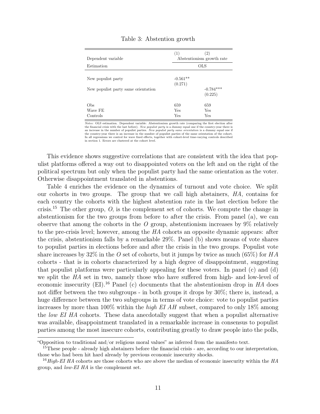| Dependent variable                  | (1)                   | $\left( 2\right)$<br>Abstentionism growth rate |  |
|-------------------------------------|-----------------------|------------------------------------------------|--|
| Estimation                          | <b>OLS</b>            |                                                |  |
| New populist party                  | $-0.561**$<br>(0.271) |                                                |  |
| New populist party same orientation |                       | $-0.784***$<br>(0.225)                         |  |
| Obs<br>Wave FE<br>Controls          | 659<br>Yes<br>Yes     | 659<br>Yes<br>Yes                              |  |

#### Table 3: Abstention growth

Notes: OLS estimation. Dependent variable: Abstentionism growth rate (comparing the first election after the financial crisis with the last before). New populist party is a dummy equal one if the country-year there is an increase in the number of populist parties. New populist party same orientation is a dummy equal one if the country-year there is an increase in the number of populist parties of the same orientation of the cohort. In all regressions we control for wave fixed effects, together with cohort-level time-varying controls described in section 1. Errors are clustered at the cohort level.

This evidence shows suggestive correlations that are consistent with the idea that populist platforms offered a way out to disappointed voters on the left and on the right of the political spectrum but only when the populist party had the same orientation as the voter. Otherwise disappointment translated in abstentions.

Table 4 enriches the evidence on the dynamics of turnout and vote choice. We split our cohorts in two groups. The group that we call high abstainers, HA, contains for each country the cohorts with the highest abstention rate in the last election before the crisis.<sup>15</sup> The other group,  $O$ , is the complement set of cohorts. We compute the change in abstentionism for the two groups from before to after the crisis. From panel (a), we can observe that among the cohorts in the  $\hat{O}$  group, abstentionism increases by 9% relatively to the pre-crisis level; however, among the HA cohorts an opposite dynamic appears: after the crisis, abstentionism falls by a remarkable 29%. Panel (b) shows means of vote shares to populist parties in elections before and after the crisis in the two groups. Populist vote share increases by 32% in the O set of cohorts, but it jumps by twice as much (65%) for  $HA$ cohorts - that is in cohorts characterized by a high degree of disappointment, suggesting that populist platforms were particularly appealing for these voters. In panel (c) and (d) we split the HA set in two, namely those who have suffered from high- and low-level of economic insecurity (EI).<sup>16</sup> Panel (c) documents that the abstentionism drop in  $HA$  does not differ between the two subgroups - in both groups it drops by 30%; there is, instead, a huge difference between the two subgroups in terms of vote choice: vote to populist parties increases by more than 100% within the *high EI AH* subset, compared to only 18% among the low EI HA cohorts. These data anecdotally suggest that when a populist alternative was available, disappointment translated in a remarkable increase in consensus to populist parties among the most insecure cohorts, contributing greatly to draw people into the polls,

<sup>&</sup>quot;Opposition to traditional and/or religious moral values" as inferred from the manifesto text.

<sup>&</sup>lt;sup>15</sup>These people - already high abstainers before the financial crisis - are, according to our interpretation, those who had been hit hard already by previous economic insecurity shocks.

<sup>&</sup>lt;sup>16</sup> High-EI HA cohorts are those cohorts who are above the median of economic insecurity within the HA group, and low-EI HA is the complement set.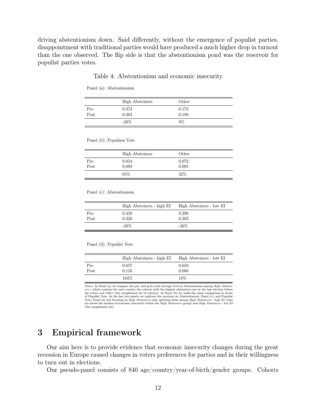driving abstentionism down. Said differently, without the emergence of populist parties, disappointment with traditional parties would have produced a much higher drop in turnout than the one observed. The flip side is that the abstentionism pond was the reservoir for populist parties votes.

#### Table 4: Abstentionism and economic insecurity

Panel (a): Abstentionism

|      | <b>High Absteiners</b> | Other |  |
|------|------------------------|-------|--|
| Pre  | 0.373                  | 0.172 |  |
| Post | 0.263                  | 0.188 |  |
|      | $-29%$                 | 9%    |  |

Panel (b): Populism Vote

|      | <b>High Absteiners</b> | Other |  |
|------|------------------------|-------|--|
| Pre  | 0.054                  | 0.072 |  |
| Post | 0.089                  | 0.095 |  |
|      | 65\%                   | 32\%  |  |

Panel (c): Abstentionism

|      | High Absteiners - high EI | High Absteiners - low EI |
|------|---------------------------|--------------------------|
| Pre  | 0.450                     | 0.290                    |
| Post | 0.320                     | 0.202                    |
|      | $-29\%$                   | $-30\%$                  |

Panel (d): Populist Vote

|      | High Abstainers - high EI | High Absteiners - low EI |
|------|---------------------------|--------------------------|
| Pre  | 0.057                     | 0.050                    |
| Post | 0.116                     | 0.060                    |
|      | 104\%                     | 18%                      |

Notes: In Panel (a) we compare the pre- and post-crisis average level of Abstentionism among High Abstainers ( which contains for each country the cohorts with the highest abstention rate in the last election before the crisis) and Other (the complement set of cohorts). In Panel (b) we make the same comparison in terms of Populist Vote. In the last two panels we replicate the analyses on Abstentionism, Panel (c), and Populist Vote, Panel (d) but focusing on *High Abstainers* only, splitting them among *High Abstainers - high EI* (who are above the median of economic insecurity within the High Abstainers group) and High Abstainers - low EI (the complement set).

## 3 Empirical framework

Our aim here is to provide evidence that economic insecurity changes during the great recession in Europe caused changes in voters preferences for parties and in their willingness to turn out in elections.

Our pseudo-panel consists of 840 age/country/year-of-birth/gender groups. Cohorts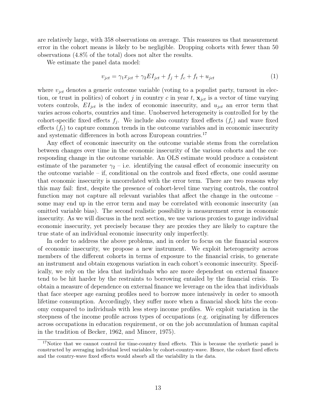are relatively large, with 358 observations on average. This reassures us that measurement error in the cohort means is likely to be negligible. Dropping cohorts with fewer than 50 observations (4.8% of the total) does not alter the results.

We estimate the panel data model:

$$
v_{jet} = \gamma_1 x_{jet} + \gamma_2 EI_{jet} + f_j + f_c + f_t + u_{jet}
$$
\n<sup>(1)</sup>

where  $v_{ict}$  denotes a generic outcome variable (voting to a populist party, turnout in election, or trust in politics) of cohort j in country c in year t,  $\mathbf{x}_{jet}$  is a vector of time varying voters controls,  $EI_{jet}$  is the index of economic insecurity, and  $u_{jet}$  an error term that varies across cohorts, countries and time. Unobserved heterogeneity is controlled for by the cohort-specific fixed effects  $f_j$ . We include also country fixed effects  $(f_c)$  and wave fixed effects  $(f_t)$  to capture common trends in the outcome variables and in economic insecurity and systematic differences in both across European countries.<sup>17</sup>

Any effect of economic insecurity on the outcome variable stems from the correlation between changes over time in the economic insecurity of the various cohorts and the corresponding change in the outcome variable. An OLS estimate would produce a consistent estimate of the parameter  $\gamma_2$  – i.e. identifying the causal effect of economic insecurity on the outcome variable – if, conditional on the controls and fixed effects, one could assume that economic insecurity is uncorrelated with the error term. There are two reasons why this may fail: first, despite the presence of cohort-level time varying controls, the control function may not capture all relevant variables that affect the change in the outcome – some may end up in the error term and may be correlated with economic insecurity (an omitted variable bias). The second realistic possibility is measurement error in economic insecurity. As we will discuss in the next section, we use various proxies to gauge individual economic insecurity, yet precisely because they are proxies they are likely to capture the true state of an individual economic insecurity only imperfectly.

In order to address the above problems, and in order to focus on the financial sources of economic insecurity, we propose a new instrument. We exploit heterogeneity across members of the different cohorts in terms of exposure to the financial crisis, to generate an instrument and obtain exogenous variation in each cohort's economic insecurity. Specifically, we rely on the idea that individuals who are more dependent on external finance tend to be hit harder by the restraints to borrowing entailed by the financial crisis. To obtain a measure of dependence on external finance we leverage on the idea that individuals that face steeper age earning profiles need to borrow more intensively in order to smooth lifetime consumption. Accordingly, they suffer more when a financial shock hits the economy compared to individuals with less steep income profiles. We exploit variation in the steepness of the income profile across types of occupations (e.g. originating by differences across occupations in education requirement, or on the job accumulation of human capital in the tradition of Becker, 1962, and Mincer, 1975).

<sup>&</sup>lt;sup>17</sup>Notice that we cannot control for time-country fixed effects. This is because the synthetic panel is constructed by averaging individual level variables by cohort-country-wave. Hence, the cohort fixed effects and the country-wave fixed effects would absorb all the variability in the data.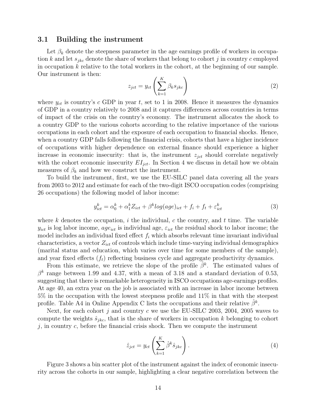#### 3.1 Building the instrument

Let  $\beta_k$  denote the steepness parameter in the age earnings profile of workers in occupation k and let  $s_{jkc}$  denote the share of workers that belong to cohort j in country c employed in occupation  $k$  relative to the total workers in the cohort, at the beginning of our sample. Our instrument is then:  $\mathbf{r}$ 

$$
z_{jct} = y_{ct} \left( \sum_{k=1}^{K} \beta_k s_{jkc} \right)
$$
 (2)

where  $y_{ct}$  is country's c GDP in year t, set to 1 in 2008. Hence it measures the dynamics of GDP in a country relatively to 2008 and it captures differences across countries in terms of impact of the crisis on the country's economy. The instrument allocates the shock to a country GDP to the various cohorts according to the relative importance of the various occupations in each cohort and the exposure of each occupation to financial shocks. Hence, when a country GDP falls following the financial crisis, cohorts that have a higher incidence of occupations with higher dependence on external finance should experience a higher increase in economic insecurity: that is, the instrument  $z_{ict}$  should correlate negatively with the cohort economic insecurity  $EI_{ict}$ . In Section 4 we discuss in detail how we obtain measures of  $\beta_k$  and how we construct the instrument.

To build the instrument, first, we use the EU-SILC panel data covering all the years from 2003 to 2012 and estimate for each of the two-digit ISCO occupation codes (comprising 26 occupations) the following model of labor income:

$$
y_{ict}^k = \alpha_0^k + \alpha_1^k Z_{ict} + \beta^k log(age)_{ict} + f_i + f_t + \varepsilon_{ict}^k
$$
\n(3)

where k denotes the occupation, i the individual, c the country, and t time. The variable  $y_{ict}$  is log labor income,  $age_{ict}$  is individual age,  $\varepsilon_{ict}$  the residual shock to labor income; the model includes an individual fixed effect  $f_i$  which absorbs relevant time invariant individual characteristics, a vector  $Z_{ict}$  of controls which include time-varying individual demographics (marital status and education, which varies over time for some members of the sample), and year fixed effects  $(f_t)$  reflecting business cycle and aggregate productivity dynamics.

From this estimate, we retrieve the slope of the profile  $\tilde{\beta}^k$ . The estimated values of  $\beta^k$  range between 1.99 and 4.37, with a mean of 3.18 and a standard deviation of 0.53, suggesting that there is remarkable heterogeneity in ISCO occupations age-earnings profiles. At age 40, an extra year on the job is associated with an increase in labor income between 5% in the occupation with the lowest steepness profile and 11% in that with the steepest profile. Table A4 in Online Appendix C lists the occupations and their relative  $\hat{\beta}^k$ .

Next, for each cohort j and country c we use the EU-SILC 2003, 2004, 2005 waves to compute the weights  $\hat{s}_{jkc}$ , that is the share of workers in occupation k belonging to cohort  $j$ , in country  $c$ , before the financial crisis shock. Then we compute the instrument

$$
\hat{z}_{jct} = y_{ct} \left( \sum_{k=1}^{K} \hat{\beta}^k \hat{s}_{jkc} \right). \tag{4}
$$

Figure 3 shows a bin scatter plot of the instrument against the index of economic insecurity across the cohorts in our sample, highlighting a clear negative correlation between the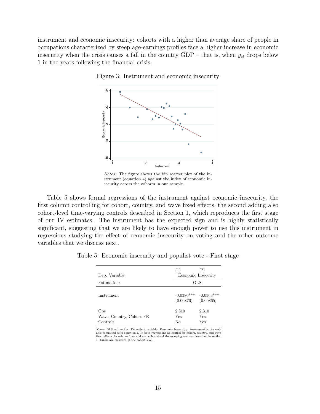instrument and economic insecurity: cohorts with a higher than average share of people in occupations characterized by steep age-earnings profiles face a higher increase in economic insecurity when the crisis causes a fall in the country  $GDP - that$  is, when  $y_{ct}$  drops below 1 in the years following the financial crisis.



Figure 3: Instrument and economic insecurity

Notes: The figure shows the bin scatter plot of the instrument (equation 4) against the index of economic insecurity across the cohorts in our sample.

Table 5 shows formal regressions of the instrument against economic insecurity, the first column controlling for cohort, country, and wave fixed effects, the second adding also cohort-level time-varying controls described in Section 1, which reproduces the first stage of our IV estimates. The instrument has the expected sign and is highly statistically significant, suggesting that we are likely to have enough power to use this instrument in regressions studying the effect of economic insecurity on voting and the other outcome variables that we discuss next.

| Dep. Variable                               | (2)<br>(1)<br>Economic Insecurity |                           |  |
|---------------------------------------------|-----------------------------------|---------------------------|--|
| Estimation:                                 | OLS                               |                           |  |
| Instrument                                  | $-0.0380***$<br>(0.00876)         | $-0.0368***$<br>(0.00865) |  |
| Obs<br>Wave, Country, Cohort FE<br>Controls | 2,310<br>Yes<br>No                | 2,310<br>Yes<br>Yes       |  |

Table 5: Economic insecurity and populist vote - First stage

Notes: OLS estimation. Dependent variable: Economic insecurity. Instrument is the variable computed as in equation 4. In both regressions we control for cohort, country, and wave fixed effects. In column 2 we add also cohort-level time-varying controls described in section 1. Errors are clustered at the cohort level.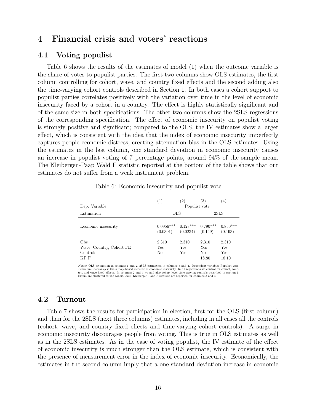## 4 Financial crisis and voters' reactions

#### 4.1 Voting populist

þ

Table 6 shows the results of the estimates of model (1) when the outcome variable is the share of votes to populist parties. The first two columns show OLS estimates, the first column controlling for cohort, wave, and country fixed effects and the second adding also the time-varying cohort controls described in Section 1. In both cases a cohort support to populist parties correlates positively with the variation over time in the level of economic insecurity faced by a cohort in a country. The effect is highly statistically significant and of the same size in both specifications. The other two columns show the 2SLS regressions of the corresponding specification. The effect of economic insecurity on populist voting is strongly positive and significant; compared to the OLS, the IV estimates show a larger effect, which is consistent with the idea that the index of economic insecurity imperfectly captures people economic distress, creating attenuation bias in the OLS estimates. Using the estimates in the last column, one standard deviation in economic insecurity causes an increase in populist voting of 7 percentage points, around 94% of the sample mean. The Kleibergen-Paap Wald F statistic reported at the bottom of the table shows that our estimates do not suffer from a weak instrument problem.

|                                                     | (1)                     | $\left( 2\right)$      | (3)                                     | $\left( 4\right)$            |
|-----------------------------------------------------|-------------------------|------------------------|-----------------------------------------|------------------------------|
| Dep. Variable                                       |                         | Populist vote          |                                         |                              |
| Estimation                                          | <b>OLS</b>              |                        | 2SLS                                    |                              |
| Economic insecurity                                 | $0.0956***$<br>(0.0301) | $0.128***$<br>(0.0234) | $0.790***$<br>(0.149)                   | $0.850***$<br>(0.193)        |
| Obs<br>Wave, Country, Cohort FE<br>Controls<br>KP F | 2,310<br>Yes<br>No      | 2,310<br>Yes<br>Yes    | 2,310<br>Yes<br>N <sub>0</sub><br>18.80 | 2,310<br>Yes<br>Yes<br>18.10 |

Table 6: Economic insecurity and populist vote

Notes: OLS estimation in columns 1 and 2, 2SLS estimation in columns 3 and 4. Dependent variable: Populist vote. Economic insecurity is the survey-based measure of economic insecurity. In all regressions we control for cohort, country, and wave fixed effects. In columns 2 and 4 we add also cohort-level time-varying controls described in section 1. Errors are clustered at the cohort level. Kleibergen-Paap F-statistic are reported for columns 3 and 4.

#### 4.2 Turnout

Table 7 shows the results for participation in election, first for the OLS (first column) and than for the 2SLS (next three columns) estimates, including in all cases all the controls (cohort, wave, and country fixed effects and time-varying cohort controls). A surge in economic insecurity discourages people from voting. This is true in OLS estimates as well as in the 2SLS estimates. As in the case of voting populist, the IV estimate of the effect of economic insecurity is much stronger than the OLS estimate, which is consistent with the presence of measurement error in the index of economic insecurity. Economically, the estimates in the second column imply that a one standard deviation increase in economic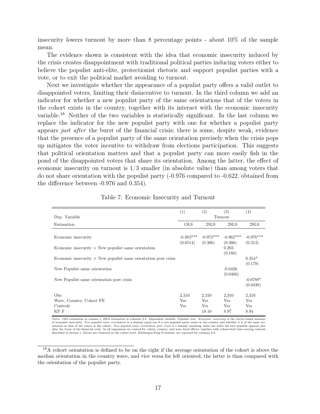insecurity lowers turnout by more than 8 percentage points - about 10% of the sample mean.

The evidence shown is consistent with the idea that economic insecurity induced by the crisis creates disappointment with traditional political parties inducing voters either to believe the populist anti-elite, protectionist rhetoric and support populist parties with a vote, or to exit the political market avoiding to turnout.

Next we investigate whether the appearance of a populist party offers a valid outlet to disappointed voters, limiting their disincentive to turnout. In the third column we add an indicator for whether a new populist party of the same orientations that of the voters in the cohort exists in the country, together with its interact with the economic insecurity variable.<sup>18</sup> Neither of the two variables is statistically significant. In the last column we replace the indicator for the new populist party with one for whether a populist party appears just after the burst of the financial crisis; there is some, despite weak, evidence that the presence of a populist party of the same orientation precisely when the crisis pops up mitigates the voter incentive to withdraw from elections participation. This suggests that political orientation matters and that a populist party can more easily fish in the pond of the disappointed voters that share its orientation. Among the latter, the effect of economic insecurity on turnout is  $1/3$  smaller (in absolute value) than among voters that do not share orientation with the populist party (-0.976 compared to -0.622, obtained from the difference between -0.976 and 0.354).

|                                                                        | (1)                        | (2)                           | (3)                                | (4)                         |
|------------------------------------------------------------------------|----------------------------|-------------------------------|------------------------------------|-----------------------------|
| Dep. Variable                                                          |                            |                               | Turnout                            |                             |
| Estimation                                                             | <b>OLS</b>                 | 2SLS                          | 2SLS                               | 2SLS                        |
| Economic insecurity                                                    | $-0.383***$<br>(0.0514)    | $-0.972***$<br>(0.306)        | $-0.962***$<br>(0.306)             | $-0.976***$<br>(0.313)      |
| Economic insecurity $\times$ New populist same orientation             |                            |                               | 0.203<br>(0.188)                   |                             |
| Economic insecurity $\times$ New populist same orientation post crisis |                            |                               |                                    | $0.354*$<br>(0.179)         |
| New Populist same orientation                                          |                            |                               | $-0.0426$<br>(0.0486)              |                             |
| New Populist same orientation post crisis                              |                            |                               |                                    | $-0.0788*$<br>(0.0438)      |
| Obs<br>Wave, Country, Cohort FE<br>Controls<br>KP F                    | 2,310<br>Yes<br><b>Yes</b> | 2,310<br>Yes<br>Yes.<br>18.10 | 2,310<br>Yes<br><b>Yes</b><br>8.97 | 2,310<br>Yes<br>Yes<br>8.94 |

Table 7: Economic Insecurity and Turnout

Notes: OLS estimation in column 1, 2SLS estimation in columns 2-4. Dependent variable: Populist vote. Economic insecurity is the survey-based measure of economic insecurity. New populist same orientation is a dummy equal one if a new populist party exists in the country and whether it is of the same orientation as that of the voters in the cohort. New populist same orientation post crisis is a dummy assuming value one when the new populist appears just after the burst of the financial crisis. In all regressions we control for cohort, country, and wave fixed effects, together with cohort-level time-varying controls described in section 1. Errors are clustered at the cohor

<sup>&</sup>lt;sup>18</sup>A cohort orientation is defined to be on the right if the average orientation of the cohort is above the median orientation in the country wave, and vice versa for left oriented; the latter is than compared with the orientation of the populist party.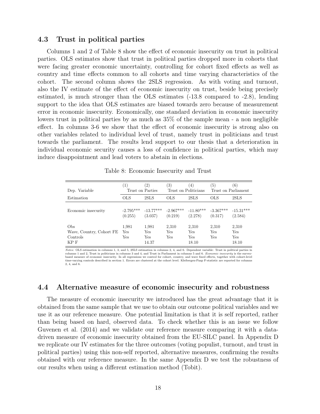#### 4.3 Trust in political parties

Columns 1 and 2 of Table 8 show the effect of economic insecurity on trust in political parties. OLS estimates show that trust in political parties dropped more in cohorts that were facing greater economic uncertainty, controlling for cohort fixed effects as well as country and time effects common to all cohorts and time varying characteristics of the cohort. The second column shows the 2SLS regression. As with voting and turnout, also the IV estimate of the effect of economic insecurity on trust, beside being precisely estimated, is much stronger than the OLS estimates (-13.8 compared to -2.8), lending support to the idea that OLS estimates are biased towards zero because of measurement error in economic insecurity. Economically, one standard deviation in economic insecurity lowers trust in political parties by as much as 35% of the sample mean - a non negligible effect. In columns 3-6 we show that the effect of economic insecurity is strong also on other variables related to individual level of trust, namely trust in politicians and trust towards the parliament. The results lend support to our thesis that a deterioration in individual economic security causes a loss of confidence in political parties, which may induce disappointment and lead voters to abstain in elections.

| Dep. Variable                                       | $\left(1\right)$<br>Trust on Parties | $\left( 2\right)$                   | $\left( 3\right)$<br>Trust on Politicians | (4)                          | (5)<br>Trust on Parliament | (6)                          |
|-----------------------------------------------------|--------------------------------------|-------------------------------------|-------------------------------------------|------------------------------|----------------------------|------------------------------|
| Estimation                                          | OLS                                  | 2SLS                                | <b>OLS</b>                                | 2SLS                         | <b>OLS</b>                 | 2SLS                         |
| Economic insecurity                                 | $-2.795***$<br>(0.255)               | (3.037)                             | $-13.77***$ $-2.967***$<br>(0.219)        | $-11.80***$<br>(2.278)       | $-3.367***$<br>(0.317)     | $-15.31***$<br>(2.584)       |
| Obs<br>Wave, Country, Cohort FE<br>Controls<br>KP F | 1,981<br><b>Yes</b><br>Yes           | 1,981<br>Yes<br><b>Yes</b><br>14.37 | 2,310<br><b>Yes</b><br>Yes                | 2,310<br>Yes<br>Yes<br>18.10 | 2,310<br>Yes<br>Yes        | 2,310<br>Yes<br>Yes<br>18.10 |

Table 8: Economic Insecurity and Trust

Notes: OLS estimation in columns 1, 3, and 5, 2SLS estimation in columns 2, 4, and 6. Dependent variable: Trust in political parties in columns 1 and 2, Trust in politicians in columns 3 and 4, and Trust in Parliament in columns 5 and 6. *Economic insecurity* is the survey-<br>based measure of economic insecurity. In all regressions we control for cohort, cou time-varying controls described in section 1. Errors are clustered at the cohort level. Kleibergen-Paap F-statistic are reported for columns 2, 4, and 6.

### 4.4 Alternative measure of economic insecurity and robustness

The measure of economic insecurity we introduced has the great advantage that it is obtained from the same sample that we use to obtain our outcome political variables and we use it as our reference measure. One potential limitation is that it is self reported, rather than being based on hard, observed data. To check whether this is an issue we follow Guvenen et al. (2014) and we validate our reference measure comparing it with a datadriven measure of economic insecurity obtained from the EU-SILC panel. In Appendix D we replicate our IV estimates for the three outcomes (voting populist, turnout, and trust in political parties) using this non-self reported, alternative measures, confirming the results obtained with our reference measure. In the same Appendix D we test the robustness of our results when using a different estimation method (Tobit).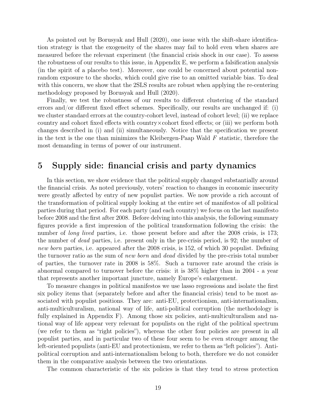As pointed out by Borusyak and Hull (2020), one issue with the shift-share identification strategy is that the exogeneity of the shares may fail to hold even when shares are measured before the relevant experiment (the financial crisis shock in our case). To assess the robustness of our results to this issue, in Appendix E, we perform a falsification analysis (in the spirit of a placebo test). Moreover, one could be concerned about potential nonrandom exposure to the shocks, which could give rise to an omitted variable bias. To deal with this concern, we show that the 2SLS results are robust when applying the re-centering methodology proposed by Borusyak and Hull (2020).

Finally, we test the robustness of our results to different clustering of the standard errors and/or different fixed effect schemes. Specifically, our results are unchanged if: (i) we cluster standard errors at the country-cohort level, instead of cohort level; (ii) we replace country and cohort fixed effects with country×cohort fixed effects; or (iii) we perform both changes described in (i) and (ii) simultaneously. Notice that the specification we present in the text is the one than minimizes the Kleibergen-Paap Wald  $F$  statistic, therefore the most demanding in terms of power of our instrument.

## 5 Supply side: financial crisis and party dynamics

In this section, we show evidence that the political supply changed substantially around the financial crisis. As noted previously, voters' reaction to changes in economic insecurity were greatly affected by entry of new populist parties. We now provide a rich account of the transformation of political supply looking at the entire set of manifestos of all political parties during that period. For each party (and each country) we focus on the last manifesto before 2008 and the first after 2008. Before delving into this analysis, the following summary figures provide a first impression of the political transformation following the crisis: the number of *long lived* parties, i.e. those present before and after the 2008 crisis, is 173; the number of dead parties, i.e. present only in the pre-crisis period, is 92; the number of new born parties, i.e. appeared after the 2008 crisis, is 152, of which 30 populist. Defining the turnover ratio as the sum of new born and dead divided by the pre-crisis total number of parties, the turnover rate in 2008 is 58%. Such a turnover rate around the crisis is abnormal compared to turnover before the crisis: it is 38% higher than in 2004 - a year that represents another important juncture, namely Europe's enlargement.

To measure changes in political manifestos we use lasso regressions and isolate the first six policy items that (separately before and after the financial crisis) tend to be most associated with populist positions. They are: anti-EU, protectionism, anti-internationalism, anti-multiculturalism, national way of life, anti-political corruption (the methodology is fully explained in Appendix F). Among those six policies, anti-multiculturalism and national way of life appear very relevant for populists on the right of the political spectrum (we refer to them as "right policies"), whereas the other four policies are present in all populist parties, and in particular two of these four seem to be even stronger among the left-oriented populists (anti-EU and protectionism, we refer to them as "left policies"). Antipolitical corruption and anti-internationalism belong to both, therefore we do not consider them in the comparative analysis between the two orientations.

The common characteristic of the six policies is that they tend to stress protection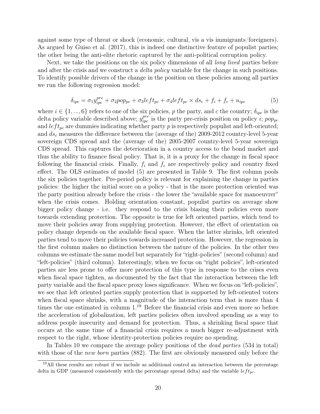against some type of threat or shock (economic, cultural, vis a vis immigrants/foreigners). As argued by Guiso et al. (2017), this is indeed one distinctive feature of populist parties; the other being the anti-elite rhetoric captured by the anti-political corruption policy.

Next, we take the positions on the six policy dimensions of all *long lived* parties before and after the crisis and we construct a *delta policy* variable for the change in such positions. To identify possible drivers of the change in the position on these policies among all parties we run the following regression model:

$$
\delta_{ipc} = \sigma_1 y_{ipc}^{pre} + \sigma_2 pop_{pc} + \sigma_3 left_{pc} + \sigma_4 left_{pc} \times ds_c + f_i + f_c + u_{ipc}
$$
\n
$$
\tag{5}
$$

where  $i \in \{1, ..., 6\}$  refers to one of the six policies, p the party, and c the country;  $\delta_{ipc}$  is the delta policy variable described above;  $y_{\textit{inc}}^{\textit{pre}}$  is the party pre-crisis position on policy *i*; pop<sub>pc</sub> and  $left_{pc}$  are dummies indicating whether party p is respectively populist and left-oriented; and  $ds_c$  measures the difference between the (average of the) 2009-2012 country-level 5-year sovereign CDS spread and the (average of the) 2005-2007 country-level 5-year sovereign CDS spread. This captures the deterioration in a country access to the bond market and thus the ability to finance fiscal policy. That is, it is a proxy for the change in fiscal space following the financial crisis. Finally,  $f_i$  and  $f_c$  are respectively policy and country fixed effect. The OLS estimates of model (5) are presented in Table 9. The first column pools the six policies together. Pre-period policy is relevant for explaining the change in parties policies: the higher the initial score on a policy - that is the more protection oriented was the party position already before the crisis - the lower the "available space for manoeuvrer" when the crisis comes. Holding orientation constant, populist parties on average show bigger policy change - i.e. they respond to the crisis biasing their policies even more towards extending protection. The opposite is true for left oriented parties, which tend to move their policies away from supplying protection. However, the effect of orientation on policy change depends on the available fiscal space. When the latter shrinks, left oriented parties tend to move their policies towards increased protection. However, the regression in the first column makes no distinction between the nature of the policies. In the other two columns we estimate the same model but separately for "right-policies" (second column) and "left-policies" (third column). Interestingly, when we focus on "right policies", left-oriented parties are less prone to offer more protection of this type in response to the crises even when fiscal space tighten, as documented by the fact that the interaction between the left party variable and the fiscal space proxy loses significance. When we focus on "left-policies", we see that left oriented parties supply protection that is supported by left-oriented voters when fiscal space shrinks, with a magnitude of the interaction term that is more than 4 times the one estimated in column  $1^{19}$  Before the financial crisis and even more so before the acceleration of globalization, left parties policies often involved spending as a way to address people insecurity and demand for protection. Thus, a shrinking fiscal space that occurs at the same time of a financial crisis requires a much bigger re-adjustment with respect to the right, whose identity-protection policies require no spending.

In Tables 10 we compare the average policy positions of the *dead parties* (534 in total) with those of the *new born* parties (882). The first are obviously measured only before the

<sup>19</sup>All these results are robust if we include as additional control an interaction between the percentage delta in GDP (measured consistently with the percentage spread delta) and the variable  $left_{pc}$ .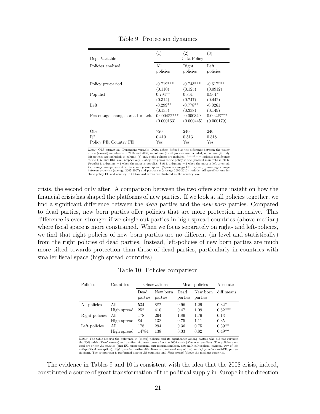| Dep. Variable                          | (1)           | (2)<br>Delta Policy | (3)          |
|----------------------------------------|---------------|---------------------|--------------|
| Policies analised                      | All           | Right               | Left         |
|                                        | policies      | policies            | policies     |
| Policy pre-period                      | $-0.719***$   | $-0.743***$         | $-0.617***$  |
| Populist                               | (0.110)       | (0.125)             | (0.0912)     |
|                                        | $0.794**$     | 0.861               | $0.901*$     |
| Left                                   | (0.314)       | (0.747)             | (0.442)      |
|                                        | $-0.299**$    | $-0.778**$          | $-0.0261$    |
|                                        | (0.135)       | (0.338)             | (0.149)      |
| Percentage change spread $\times$ Left | $0.000482***$ | $-0.000349$         | $0.00228***$ |
|                                        | (0.000163)    | (0.000445)          | (0.000179)   |
| Obs.                                   | 720           | 240                 | 240          |
| R2                                     | 0.410         | 0.513               | 0.318        |
| Policy FE, Country FE                  | Yes           | Yes                 | Yes          |

Table 9: Protection dynamics

*Notes:* OLS estimation. Dependent variable: *Delta policy*, defined as the difference between the policy<br>in the (closest) manifestos in 2013 and 2006; in column (1) all policies are included; in column (2) only<br>left poli at the 1, 5, and 10% level, respectively. Policy pre-period is the policy in the (closest) manifesto in 2006. Populist is a dummy  $= 1$  when the party is populist. Left is a dummy  $= 1$  when the party is left-oriented.<br>Percentage change spread is the country-level spread (5-year sovereign CDS spread) percentage change between pre-crisis (average 2005-2007) and post-crisis (average 2009-2012) periods. All specifications in-clude policy FE and country FE. Standard errors are clustered at the country level.

crisis, the second only after. A comparison between the two offers some insight on how the financial crisis has shaped the platforms of new parties. If we look at all policies together, we find a significant difference between the dead parties and the new born parties. Compared to dead parties, new born parties offer policies that are more protection intensive. This difference is even stronger if we single out parties in high spread countries (above median) where fiscal space is more constrained. When we focus separately on right- and left-policies, we find that right policies of new born parties are no different (in level and statistically) from the right policies of dead parties. Instead, left-policies of new born parties are much more tilted towards protection than those of dead parties, particularly in countries with smaller fiscal space (high spread countries) .

|  |  | Table 10: Policies comparison |
|--|--|-------------------------------|
|--|--|-------------------------------|

| Policies       | Countries   |                 | Observations        | Mean policies   | Absolute            |            |
|----------------|-------------|-----------------|---------------------|-----------------|---------------------|------------|
|                |             | Dead<br>parties | New born<br>parties | Dead<br>parties | New born<br>parties | diff means |
| All policies   | All         | 534             | 882                 | 0.96            | 1.29                | $0.32*$    |
|                | High spread | 252             | 410                 | 0.47            | 1.09                | $0.62***$  |
| Right policies | All         | 178             | 294                 | 1.89            | 1.76                | 0.13       |
|                | High spread | 84              | 138                 | 0.75            | 1.11                | 0.35       |
| Left policies  | All         | 178             | 294                 | 0.36            | 0.75                | $0.39**$   |
|                | High spread | 14784           | 138                 | 0.33            | 0.82                | $0.49**$   |

Notes: The table reports the difference in (mean) policies and its significance among parties who did not survived the 2008 crisis (*Dead parties*) and parties who were born after the 2008 crisis (*New born parties*). The policies analysed are either *All policies* (anti-EU, protectionism, anti-internationalism, anti-multiculturalism, national way of life, anti-political corruption), *Right policies* (anti-multiculturalism, national way of live), or *Le* tionism). The comparison is performed among All countries and High spread (above the median) countries

The evidence in Tables 9 and 10 is consistent with the idea that the 2008 crisis, indeed, constituted a source of great transformation of the political supply in Europe in the direction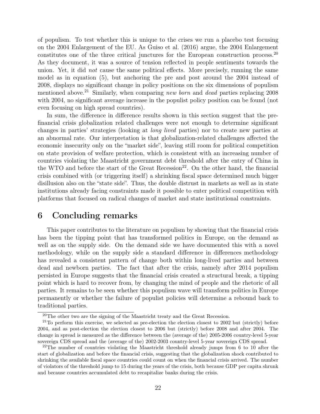of populism. To test whether this is unique to the crises we run a placebo test focusing on the 2004 Enlargement of the EU. As Guiso et al. (2016) argue, the 2004 Enlargement constitutes one of the three critical junctures for the European construction process.<sup>20</sup> As they document, it was a source of tension reflected in people sentiments towards the union. Yet, it did not cause the same political effects. More precisely, running the same model as in equation (5), but anchoring the pre and post around the 2004 instead of 2008, displays no significant change in policy positions on the six dimensions of populism mentioned above.<sup>21</sup> Similarly, when comparing new born and dead parties replacing  $2008$ with 2004, no significant average increase in the populist policy position can be found (not even focusing on high spread countries).

In sum, the difference in difference results shown in this section suggest that the prefinancial crisis globalization related challenges were not enough to determine significant changes in parties' strategies (looking at long lived parties) nor to create new parties at an abnormal rate. Our interpretation is that globalization-related challenges affected the economic insecurity only on the "market side", leaving still room for political competition on state provision of welfare protection, which is consistent with an increasing number of countries violating the Maastricht government debt threshold after the entry of China in the WTO and before the start of the Great Recession<sup>22</sup>. On the other hand, the financial crisis combined with (or triggering itself) a shrinking fiscal space determined much bigger disillusion also on the "state side". Thus, the double distrust in markets as well as in state institutions already facing constraints made it possible to enter political competition with platforms that focused on radical changes of market and state institutional constraints.

## 6 Concluding remarks

This paper contributes to the literature on populism by showing that the financial crisis has been the tipping point that has transformed politics in Europe, on the demand as well as on the supply side. On the demand side we have documented this with a novel methodology, while on the supply side a standard difference in differences methodology has revealed a consistent pattern of change both within long-lived parties and between dead and newborn parties. The fact that after the crisis, namely after 2014 populism persisted in Europe suggests that the financial crisis created a structural break, a tipping point which is hard to recover from, by changing the mind of people and the rhetoric of all parties. It remains to be seen whether this populism wave will transform politics in Europe permanently or whether the failure of populist policies will determine a rebound back to traditional parties.

 $20$ The other two are the signing of the Maastricht treaty and the Great Recession.

 $21$ To perform this exercise, we selected as pre-election the election closest to 2002 but (strictly) before 2004, and as post-election the election closest to 2006 but (strictly) before 2008 and after 2004. The change in spread is measured as the difference between the (average of the) 2005-2006 country-level 5-year sovereign CDS spread and the (average of the) 2002-2003 country-level 5-year sovereign CDS spread.

<sup>&</sup>lt;sup>22</sup>The number of countries violating the Maastricht threshold already jumps from 6 to 10 after the start of globalization and before the financial crisis, suggesting that the globalization shock contributed to shrinking the available fiscal space countries could count on when the financial crisis arrived. The number of violators of the threshold jump to 15 during the years of the crisis, both because GDP per capita shrunk and because countries accumulated debt to recapitalize banks during the crisis.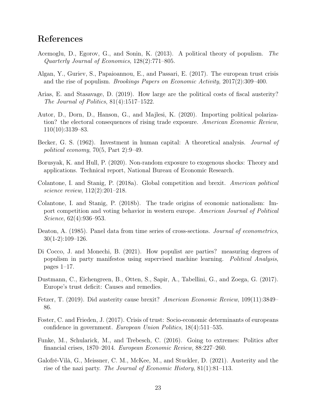## References

- Acemoglu, D., Egorov, G., and Sonin, K. (2013). A political theory of populism. The Quarterly Journal of Economics, 128(2):771–805.
- Algan, Y., Guriev, S., Papaioannou, E., and Passari, E. (2017). The european trust crisis and the rise of populism. Brookings Papers on Economic Activity, 2017(2):309–400.
- Arias, E. and Stasavage, D. (2019). How large are the political costs of fiscal austerity? The Journal of Politics, 81(4):1517–1522.
- Autor, D., Dorn, D., Hanson, G., and Majlesi, K. (2020). Importing political polarization? the electoral consequences of rising trade exposure. American Economic Review, 110(10):3139–83.
- Becker, G. S. (1962). Investment in human capital: A theoretical analysis. Journal of political economy, 70(5, Part 2):9–49.
- Borusyak, K. and Hull, P. (2020). Non-random exposure to exogenous shocks: Theory and applications. Technical report, National Bureau of Economic Research.
- Colantone, I. and Stanig, P. (2018a). Global competition and brexit. American political science review, 112(2):201–218.
- Colantone, I. and Stanig, P. (2018b). The trade origins of economic nationalism: Import competition and voting behavior in western europe. American Journal of Political Science, 62(4):936–953.
- Deaton, A. (1985). Panel data from time series of cross-sections. *Journal of econometrics*, 30(1-2):109–126.
- Di Cocco, J. and Monechi, B. (2021). How populist are parties? measuring degrees of populism in party manifestos using supervised machine learning. Political Analysis, pages 1–17.
- Dustmann, C., Eichengreen, B., Otten, S., Sapir, A., Tabellini, G., and Zoega, G. (2017). Europe's trust deficit: Causes and remedies.
- Fetzer, T. (2019). Did austerity cause brexit? American Economic Review, 109(11):3849– 86.
- Foster, C. and Frieden, J. (2017). Crisis of trust: Socio-economic determinants of europeans confidence in government. European Union Politics, 18(4):511–535.
- Funke, M., Schularick, M., and Trebesch, C. (2016). Going to extremes: Politics after financial crises, 1870–2014. European Economic Review, 88:227–260.
- Galofré-Vilà, G., Meissner, C. M., McKee, M., and Stuckler, D. (2021). Austerity and the rise of the nazi party. The Journal of Economic History, 81(1):81–113.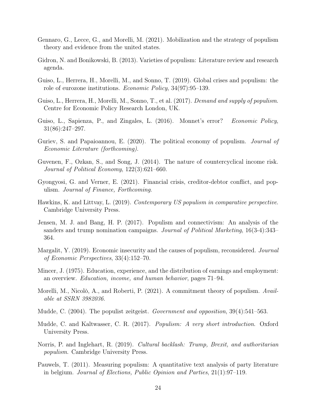- Gennaro, G., Lecce, G., and Morelli, M. (2021). Mobilization and the strategy of populism theory and evidence from the united states.
- Gidron, N. and Bonikowski, B. (2013). Varieties of populism: Literature review and research agenda.
- Guiso, L., Herrera, H., Morelli, M., and Sonno, T. (2019). Global crises and populism: the role of eurozone institutions. Economic Policy, 34(97):95–139.
- Guiso, L., Herrera, H., Morelli, M., Sonno, T., et al. (2017). *Demand and supply of populism.* Centre for Economic Policy Research London, UK.
- Guiso, L., Sapienza, P., and Zingales, L. (2016). Monnet's error? Economic Policy, 31(86):247–297.
- Guriev, S. and Papaioannou, E. (2020). The political economy of populism. *Journal of* Economic Literature (forthcoming).
- Guvenen, F., Ozkan, S., and Song, J. (2014). The nature of countercyclical income risk. Journal of Political Economy, 122(3):621–660.
- Gyongyosi, G. and Verner, E. (2021). Financial crisis, creditor-debtor conflict, and populism. Journal of Finance, Forthcoming.
- Hawkins, K. and Littvay, L. (2019). Contemporary US populism in comparative perspective. Cambridge University Press.
- Jensen, M. J. and Bang, H. P. (2017). Populism and connectivism: An analysis of the sanders and trump nomination campaigns. Journal of Political Marketing, 16(3-4):343– 364.
- Margalit, Y. (2019). Economic insecurity and the causes of populism, reconsidered. Journal of Economic Perspectives, 33(4):152–70.
- Mincer, J. (1975). Education, experience, and the distribution of earnings and employment: an overview. Education, income, and human behavior, pages 71–94.
- Morelli, M., Nicolò, A., and Roberti, P. (2021). A commitment theory of populism. Available at SSRN 3982036.
- Mudde, C. (2004). The populist zeitgeist. Government and opposition, 39(4):541–563.
- Mudde, C. and Kaltwasser, C. R. (2017). Populism: A very short introduction. Oxford University Press.
- Norris, P. and Inglehart, R. (2019). Cultural backlash: Trump, Brexit, and authoritarian populism. Cambridge University Press.
- Pauwels, T. (2011). Measuring populism: A quantitative text analysis of party literature in belgium. Journal of Elections, Public Opinion and Parties, 21(1):97–119.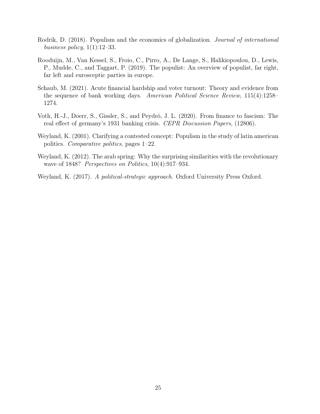- Rodrik, D. (2018). Populism and the economics of globalization. Journal of international business policy,  $1(1):12-33$ .
- Rooduijn, M., Van Kessel, S., Froio, C., Pirro, A., De Lange, S., Halikiopoulou, D., Lewis, P., Mudde, C., and Taggart, P. (2019). The populist: An overview of populist, far right, far left and eurosceptic parties in europe.
- Schaub, M. (2021). Acute financial hardship and voter turnout: Theory and evidence from the sequence of bank working days. American Political Science Review, 115(4):1258– 1274.
- Voth, H.-J., Doerr, S., Gissler, S., and Peydró, J. L. (2020). From finance to fascism: The real effect of germany's 1931 banking crisis. CEPR Discussion Papers, (12806).
- Weyland, K. (2001). Clarifying a contested concept: Populism in the study of latin american politics. Comparative politics, pages 1–22.
- Weyland, K. (2012). The arab spring: Why the surprising similarities with the revolutionary wave of 1848? *Perspectives on Politics*, 10(4):917–934.
- Weyland, K. (2017). A political-strategic approach. Oxford University Press Oxford.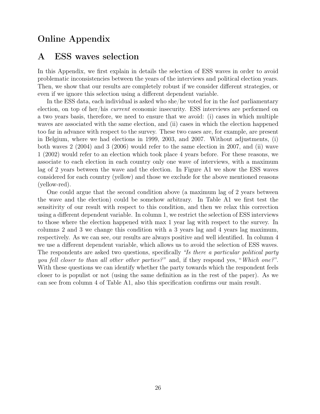## Online Appendix

## A ESS waves selection

In this Appendix, we first explain in details the selection of ESS waves in order to avoid problematic inconsistencies between the years of the interviews and political election years. Then, we show that our results are completely robust if we consider different strategies, or even if we ignore this selection using a different dependent variable.

In the ESS data, each individual is asked who she/he voted for in the *last* parliamentary election, on top of her/his current economic insecurity. ESS interviews are performed on a two years basis, therefore, we need to ensure that we avoid: (i) cases in which multiple waves are associated with the same election, and (ii) cases in which the election happened too far in advance with respect to the survey. These two cases are, for example, are present in Belgium, where we had elections in 1999, 2003, and 2007. Without adjustments, (i) both waves 2 (2004) and 3 (2006) would refer to the same election in 2007, and (ii) wave 1 (2002) would refer to an election which took place 4 years before. For these reasons, we associate to each election in each country only one wave of interviews, with a maximum lag of 2 years between the wave and the election. In Figure A1 we show the ESS waves considered for each country (yellow) and those we exclude for the above mentioned reasons (yellow-red).

One could argue that the second condition above (a maximum lag of 2 years between the wave and the election) could be somehow arbitrary. In Table A1 we first test the sensitivity of our result with respect to this condition, and then we relax this correction using a different dependent variable. In column 1, we restrict the selection of ESS interviews to those where the election happened with max 1 year lag with respect to the survey. In columns 2 and 3 we change this condition with a 3 years lag and 4 years lag maximum, respectively. As we can see, our results are always positive and well identified. In column 4 we use a different dependent variable, which allows us to avoid the selection of ESS waves. The respondents are asked two questions, specifically "Is there a particular political party you fell closer to than all other other parties?" and, if they respond yes, "Which one?". With these questions we can identify whether the party towards which the respondent feels closer to is populist or not (using the same definition as in the rest of the paper). As we can see from column 4 of Table A1, also this specification confirms our main result.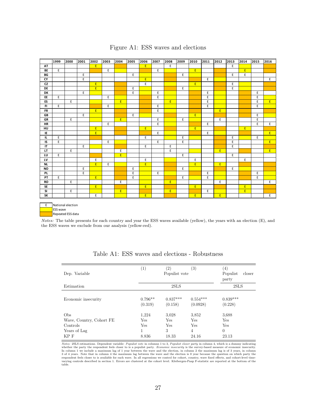|           | 1999 | 2000                | 2001           | 2002 | 2003 | 2004        | 2005 | 2006        | 2007        | 2008 | 2009 | 2010           | 2011 | 2012           | 2013           | 2014 | 2015 | 2016        |
|-----------|------|---------------------|----------------|------|------|-------------|------|-------------|-------------|------|------|----------------|------|----------------|----------------|------|------|-------------|
| AT        |      |                     |                | E.   |      |             |      | E           |             | E    |      |                |      |                | $\mathsf E$    |      |      |             |
| BE        | E    |                     |                |      | E.   |             |      |             | E           |      |      | E              |      |                |                | E.   |      |             |
| BG        |      |                     | E              |      |      |             | E    |             |             |      | E    |                |      |                | E              | E    |      |             |
| CY        |      |                     | $\overline{E}$ |      |      |             |      | E           |             |      |      |                | E    |                |                |      |      | E           |
| CZ        |      |                     |                | E    |      |             |      | E           |             |      |      | E              |      |                | E              |      |      |             |
| DE        |      |                     |                | E    |      |             | E    |             |             |      | E    |                |      |                | $\overline{E}$ |      |      |             |
| DK        |      |                     | E              |      |      |             | E    |             | E           |      |      |                | E    |                |                |      | E    |             |
| EE        | E    |                     |                |      | E    |             |      |             | E           |      |      |                | E    |                |                |      | E    |             |
| ES        |      | E                   |                |      |      | E           |      |             |             | E    |      |                | E    |                |                |      | E    | E           |
| FI.       | E    |                     |                |      | E    |             |      |             | E           |      |      |                | E    |                |                |      | E    |             |
| <b>FR</b> |      |                     |                | E.   |      |             |      |             | E           |      |      |                |      | E.             |                |      |      |             |
| GB        |      |                     | E              |      |      |             | E    |             |             |      |      | E              |      |                |                |      | E    |             |
| GR        |      | E                   |                |      |      | E           |      |             | E           |      | E    |                |      | E              |                |      | E    |             |
| <b>HR</b> |      |                     |                |      | E.   |             |      |             | E           |      |      |                | E    |                |                |      | E    | E           |
| HU        |      |                     |                | E.   |      |             |      | $\mathsf E$ |             |      |      | E              |      |                |                | E    |      |             |
| IE        |      |                     |                | E.   |      |             |      |             | E           |      |      |                | E    |                |                |      |      | E           |
| IL.       | E    |                     |                |      |      |             |      | E           |             |      | E    |                |      |                | E              |      | E    |             |
| IS        | E    |                     |                |      | E    |             |      |             | E           |      | E    |                |      |                | $\mathsf E$    |      |      | E           |
| IT        |      |                     | E              |      |      |             |      | E           |             | Ε    |      |                |      |                | E              |      |      |             |
| LT        |      | E                   |                |      |      | E           |      |             |             | E    |      |                |      | E              |                |      |      | E           |
| LU        | E    |                     |                |      |      | $\mathsf E$ |      |             |             |      | E    |                |      |                | E              |      |      |             |
| LV        |      |                     |                | E    |      |             |      | E           |             |      |      | E              |      |                |                | E    |      |             |
| NL        |      |                     |                | E    | E.   |             |      | E           |             |      |      | $\overline{E}$ |      | E              |                |      |      |             |
| <b>NO</b> |      |                     | $\mathsf E$    |      |      |             | E    |             |             |      | E    |                |      |                | $\mathsf E$    |      |      |             |
| PL.       |      |                     | E              |      |      |             | E    |             | $\mathsf E$ |      |      |                | E    |                |                |      | E    |             |
| PT        | E    |                     |                | E.   |      |             | E    |             |             |      | E    |                | E    |                |                |      | E    |             |
| RO        |      | E                   |                |      |      | Ε           |      |             |             | E    |      |                |      | E              |                |      |      | E           |
| SE        |      |                     |                | E    |      |             |      | E.          |             |      |      | E.             |      |                |                | E.   |      |             |
| SI        |      | E                   |                |      |      | E           |      |             |             | E    |      |                | E    |                |                | E    |      |             |
| SK        |      |                     |                | E    |      |             |      | E.          |             |      |      | E              |      | $\overline{E}$ |                |      |      | $\mathsf E$ |
|           |      | E National election |                |      |      |             |      |             |             |      |      |                |      |                |                |      |      |             |

#### Figure A1: ESS waves and elections

ESS wave Repeated ESS data

Notes: The table presents for each country and year the ESS waves available (yellow), the years with an election (E), and the ESS waves we exclude from our analysis (yellow-red).

| Dep. Variable            | (1)                  | $\left( 2\right)$<br>Populist vote | (3)                    | $\left( 4\right)$<br>Populist<br>closer<br>party |  |
|--------------------------|----------------------|------------------------------------|------------------------|--------------------------------------------------|--|
| Estimation               |                      |                                    | 2SLS                   |                                                  |  |
| Economic insecurity      | $0.796**$<br>(0.319) | $0.837***$<br>(0.158)              | $0.554***$<br>(0.0928) | $0.839***$<br>(0.228)                            |  |
| Obs                      | 1.224                | 3,028                              | 3,852                  | 3.688                                            |  |
| Wave, Country, Cohort FE | Yes                  | Yes                                | Yes                    | Yes                                              |  |
| Controls                 | Yes                  | Yes                                | Yes                    | Yes                                              |  |
| Years of Lag             | 1                    | 3                                  | 4                      | $\theta$                                         |  |
| KP F                     | 8.836                | 18.33                              | 24.16                  | 23.13                                            |  |

| Table A1: ESS waves and elections - Robustness |  |
|------------------------------------------------|--|
|------------------------------------------------|--|

*Notes:* 2SLS estimations. Dependent variable: *Populist vote* in columns 1 to 3, *Populist closer party* in column 4, which is a dummy indicating whether the party the respondent feels closer to is a populist party. *Econ* 3 of 4 years. Note that in column 4 the maximum lag between the wave and the election is 0 year because the question on which party the<br>respondent feels closer to is available for each wave. In all regressions we control f varying controls described in section 1. Errors are clustered at the cohort level. Kleibergen-Paap F-statistic are reported at the bottom of the table.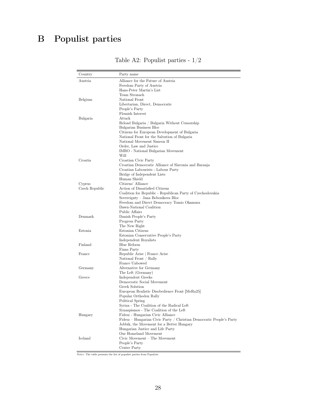# B Populist parties

| Country        | Party name                                                                                    |
|----------------|-----------------------------------------------------------------------------------------------|
| Austria        | Alliance for the Future of Austria                                                            |
|                | Freedom Party of Austria                                                                      |
|                | Hans-Peter Martin's List                                                                      |
|                | Team Stronach                                                                                 |
| Belgium        | National Front                                                                                |
|                | Libertarian, Direct, Democratic                                                               |
|                | People's Party                                                                                |
|                | Flemish Interest                                                                              |
| Bulgaria       | Attack                                                                                        |
|                | Reload Bulgaria / Bulgaria Without Censorship                                                 |
|                | Bulgarian Business Bloc                                                                       |
|                | Citizens for European Development of Bulgaria<br>National Front for the Salvation of Bulgaria |
|                | National Movement Simeon II                                                                   |
|                | Order, Law and Justice                                                                        |
|                | IMRO - National Bulgarian Movement                                                            |
|                | Will                                                                                          |
| Croatia        | Croatian Civic Party                                                                          |
|                | Croatian Democratic Alliance of Slavonia and Baranja                                          |
|                | Croatian Labourists - Labour Party                                                            |
|                | Bridge of Independent Lists                                                                   |
|                | Human Shield                                                                                  |
| Cyprus         | Citizens' Alliance                                                                            |
| Czech Republic | Action of Dissatisfied Citizens                                                               |
|                | Coalition for Republic - Republican Party of Czechoslovakia                                   |
|                | Sovereignty – Jana Bobosikova Bloc                                                            |
|                | Freedom and Direct Democracy Tomio Okamura                                                    |
|                | Dawn-National Coalition                                                                       |
| Denmark        | Public Affairs                                                                                |
|                | Danish People's Party<br>Progress Party                                                       |
|                | The New Right                                                                                 |
| Estonia        | Estonian Citizens                                                                             |
|                | Estonian Conservative People's Party                                                          |
|                | Independent Royalists                                                                         |
| Finland        | Blue Reform                                                                                   |
|                | Finns Party                                                                                   |
| France         | Republic Arise   France Arise                                                                 |
|                | National Front / Rally                                                                        |
|                | France Unbowed                                                                                |
| Germany        | Alternative for Germany                                                                       |
|                | The Left (Germany)                                                                            |
| Greece         | Independent Greeks                                                                            |
|                | Democratic Social Movement                                                                    |
|                | Greek Solution                                                                                |
|                | European Realistic Disobedience Front [MeRa25]                                                |
|                | Popular Orthodox Rally                                                                        |
|                | Political Spring                                                                              |
|                | Syriza - The Coalition of the Radical Left<br>Synaspismos - The Coalition of the Left         |
| Hungary        | Fidesz - Hungarian Civic Alliance                                                             |
|                | Fidesz – Hungarian Civic Party / Christian Democratic People's Party                          |
|                | Jobbik, the Movement for a Better Hungary                                                     |
|                | Hungarian Justice and Life Party                                                              |
|                | Our Homeland Movement                                                                         |
| Iceland        | Civic Movement - The Movement                                                                 |
|                | People's Party                                                                                |
|                | Centre Party                                                                                  |
|                |                                                                                               |

Table A2: Populist parties - 1/2

 $\overline{Notes:}$  The table presents the list of populist parties from PopuList.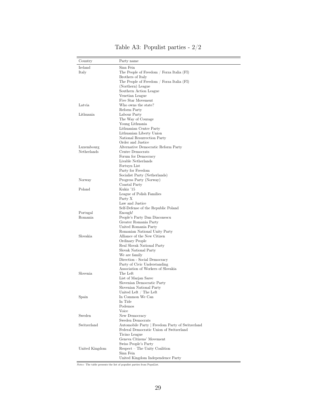| Country        | Party name                                       |
|----------------|--------------------------------------------------|
| Ireland        | Sinn Fein                                        |
| Italy          | The People of Freedom / Forza Italia (FI)        |
|                | Brothers of Italy                                |
|                | The People of Freedom / Forza Italia (FI)        |
|                | (Northern) League                                |
|                | Southern Action League                           |
|                | Venetian League                                  |
|                | Five Star Movement                               |
| Latvia         | Who owns the state?                              |
|                | Reform Party                                     |
| Lithuania      | Labour Party                                     |
|                | The Way of Courage                               |
|                | Young Lithuania                                  |
|                | Lithuanian Centre Party                          |
|                | Lithuanian Liberty Union                         |
|                | National Resurrection Party<br>Order and Justice |
| Luxembourg     | Alternative Democratic Reform Party              |
| Netherlands    | Centre Democrats                                 |
|                | Forum for Democracy                              |
|                | Livable Netherlands                              |
|                | Fortuyn List                                     |
|                | Party for Freedom                                |
|                | Socialist Party (Netherlands)                    |
| Norway         | Progress Party (Norway)                          |
|                | Coastal Party                                    |
| Poland         | Kukiz '15                                        |
|                | League of Polish Families                        |
|                | Party X                                          |
|                | Law and Justice                                  |
|                | Self-Defense of the Republic Poland              |
| Portugal       | Enough!                                          |
| Romania        | People's Party Dan Diaconescu                    |
|                | Greater Romania Party                            |
|                | United Romania Party                             |
|                | Romanian National Unity Party                    |
| Slovakia       | Alliance of the New Citizen                      |
|                | Ordinary People                                  |
|                | Real Slovak National Party                       |
|                | Slovak National Party                            |
|                | We are family                                    |
|                | Direction - Social Democracy                     |
|                | Party of Civic Understanding                     |
|                | Association of Workers of Slovakia               |
| Slovenia       | The Left                                         |
|                | List of Marjan Sarec                             |
|                | Slovenian Democratic Party                       |
|                | Slovenian National Party                         |
|                | United Left / The Left                           |
| Spain          | In Common We Can<br>In Tide                      |
|                | Podemos                                          |
|                | Voice                                            |
| Sweden         | New Democracy                                    |
|                | Sweden Democrats                                 |
| Switzerland    | Automobile Party   Freedom Party of Switzerland  |
|                | Federal Democratic Union of Switzerland          |
|                | Ticino League                                    |
|                | Geneva Citizens' Movement                        |
|                | Swiss People's Party                             |
| United Kingdom | Respect – The Unity Coalition                    |
|                |                                                  |
|                | Sinn Fein                                        |

Table A3: Populist parties - 2/2

Notes: The table presents the list of populist parties from PopuList.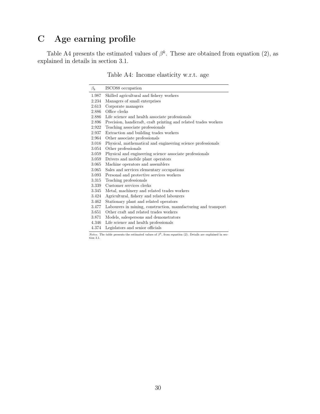## C Age earning profile

Table A4 presents the estimated values of  $\beta^k$ . These are obtained from equation (2), as explained in details in section 3.1.

Table A4: Income elasticity w.r.t. age

| $\beta_k$ | ISCO88 occupation                                                |
|-----------|------------------------------------------------------------------|
| 1.987     | Skilled agricultural and fishery workers                         |
| 2.234     | Managers of small enterprises                                    |
| 2.613     | Corporate managers                                               |
| 2.886     | Office clerks                                                    |
| 2.886     | Life science and health associate professionals                  |
| 2.896     | Precision, handicraft, craft printing and related trades workers |
| 2.922     | Teaching associate professionals                                 |
| 2.937     | Extraction and building trades workers                           |
| 2.964     | Other associate professionals                                    |
| 3.016     | Physical, mathematical and engineering science professionals     |
| 3.054     | Other professionals                                              |
| 3.059     | Physical and engineering science associate professionals         |
| 3.059     | Drivers and mobile plant operators                               |
| 3.065     | Machine operators and assemblers                                 |
| 3.065     | Sales and services elementary occupations                        |
| 3.093     | Personal and protective services workers                         |
| 3.315     | Teaching professionals                                           |
| 3.339     | Customer services clerks                                         |
| 3.345     | Metal, machinery and related trades workers                      |
| 3.424     | Agricultural, fishery and related labourers                      |
| 3.462     | Stationary plant and related operators                           |
| 3.477     | Labourers in mining, construction, manufacturing and transport   |
| 3.651     | Other craft and related trades workers                           |
| 3.871     | Models, salespersons and demonstrators                           |
| 4.346     | Life science and health professionals                            |
| 4.374     | Legislators and senior officials                                 |

*Notes:* The table presents the estimated values of  $\beta^k$ , from equation (2). Details are explained in section 3.1.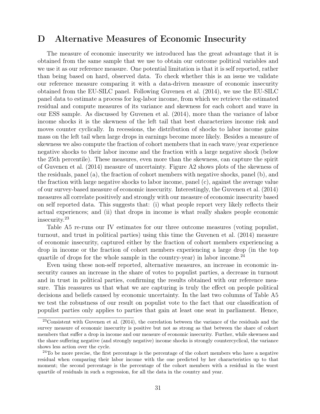## D Alternative Measures of Economic Insecurity

The measure of economic insecurity we introduced has the great advantage that it is obtained from the same sample that we use to obtain our outcome political variables and we use it as our reference measure. One potential limitation is that it is self reported, rather than being based on hard, observed data. To check whether this is an issue we validate our reference measure comparing it with a data-driven measure of economic insecurity obtained from the EU-SILC panel. Following Guvenen et al. (2014), we use the EU-SILC panel data to estimate a process for log-labor income, from which we retrieve the estimated residual and compute measures of its variance and skewness for each cohort and wave in our ESS sample. As discussed by Guvenen et al. (2014), more than the variance of labor income shocks it is the skewness of the left tail that best characterizes income risk and moves counter cyclically. In recessions, the distribution of shocks to labor income gains mass on the left tail when large drops in earnings become more likely. Besides a measure of skewness we also compute the fraction of cohort members that in each wave/year experience negative shocks to their labor income and the fraction with a large negative shock (below the 25th percentile). These measures, even more than the skewness, can capture the spirit of Guvenen et al. (2014) measure of uncertainty. Figure A2 shows plots of the skewness of the residuals, panel (a), the fraction of cohort members with negative shocks, panel (b), and the fraction with large negative shocks to labor income, panel (c), against the average value of our survey-based measure of economic insecurity. Interestingly, the Guvenen et al. (2014) measures all correlate positively and strongly with our measure of economic insecurity based on self reported data. This suggests that: (i) what people report very likely reflects their actual experiences; and (ii) that drops in income is what really shakes people economic insecurity.<sup>23</sup>

Table A5 re-runs our IV estimates for our three outcome measures (voting populist, turnout, and trust in political parties) using this time the Guvenen et al. (2014) measure of economic insecurity, captured either by the fraction of cohort members experiencing a drop in income or the fraction of cohort members experiencing a large drop (in the top quartile of drops for the whole sample in the country-year) in labor income.<sup>24</sup>

Even using these non-self reported, alternative measures, an increase in economic insecurity causes an increase in the share of votes to populist parties, a decrease in turnout and in trust in political parties, confirming the results obtained with our reference measure. This reassures us that what we are capturing is truly the effect on people political decisions and beliefs caused by economic uncertainty. In the last two columns of Table A5 we test the robustness of our result on populist vote to the fact that our classification of populist parties only applies to parties that gain at least one seat in parliament. Hence,

<sup>&</sup>lt;sup>23</sup>Consistent with Guvenen et al. (2014), the correlation between the variance of the residuals and the survey measure of economic insecurity is positive but not as strong as that between the share of cohort members that suffer a drop in income and our measure of economic insecurity. Further, while skewness and the share suffering negative (and strongly negative) income shocks is strongly countercyclical, the variance shows less action over the cycle.

 $24$ To be more precise, the first percentage is the percentage of the cohort members who have a negative residual when comparing their labor income with the one predicted by her characteristics up to that moment; the second percentage is the percentage of the cohort members with a residual in the worst quartile of residuals in such a regression, for all the data in the country and year.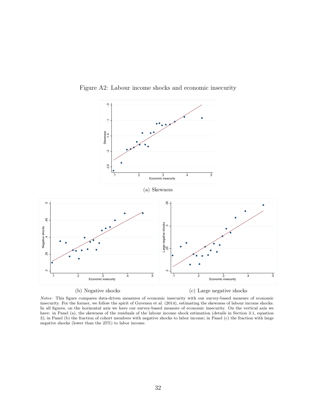

Figure A2: Labour income shocks and economic insecurity

Notes: This figure compares data-driven measures of economic insecurity with our survey-based measure of economic insecurity. For the former, we follow the spirit of Guvenen et al. (2014), estimating the skewness of labour income shocks. In all figures, on the horizontal axis we have our survey-based measure of economic insecurity. On the vertical axis we have: in Panel (a), the skewness of the residuals of the labour income shock estimation (details in Section 3.1, equation 3); in Panel (b) the fraction of cohort members with negative shocks to labor income; in Panel (c) the fraction with large negative shocks (lower than the 25%) to labor income.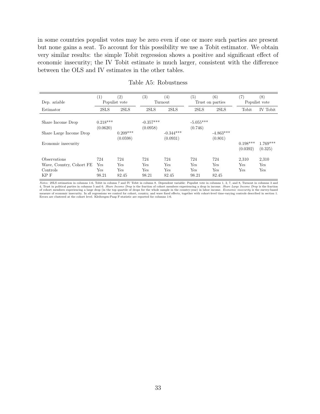in some countries populist votes may be zero even if one or more such parties are present but none gains a seat. To account for this possibility we use a Tobit estimator. We obtain very similar results: the simple Tobit regression shows a positive and significant effect of economic insecurity; the IV Tobit estimate is much larger, consistent with the difference between the OLS and IV estimates in the other tables.

|                          | $\left( 1\right)$      | $\left( 2\right)$      | $\left( 3\right)$       | (4)                     | (5)                    | (6)                    | (7)                    | (8)                   |
|--------------------------|------------------------|------------------------|-------------------------|-------------------------|------------------------|------------------------|------------------------|-----------------------|
| Dep. ariable             |                        | Populist vote          |                         | Turnout                 |                        | Trust on parties       | Populist vote          |                       |
| Estimator                | 2SLS                   | 2SLS                   | 2SLS                    | 2SLS                    | 2SLS                   | 2SLS                   | Tobit                  | IV Tobit              |
| Share Income Drop        | $0.218***$<br>(0.0620) |                        | $-0.357***$<br>(0.0958) |                         | $-5.055***$<br>(0.746) |                        |                        |                       |
| Share Large Income Drop  |                        | $0.209***$<br>(0.0598) |                         | $-0.344***$<br>(0.0931) |                        | $-4.863***$<br>(0.801) |                        |                       |
| Economic insecurity      |                        |                        |                         |                         |                        |                        | $0.198***$<br>(0.0392) | $1.769***$<br>(0.325) |
| <b>Observations</b>      | 724                    | 724                    | 724                     | 724                     | 724                    | 724                    | 2.310                  | 2,310                 |
| Wave, Country, Cohort FE | Yes                    | Yes                    | Yes                     | Yes                     | Yes                    | Yes                    | Yes                    | Yes                   |
| Controls                 | Yes                    | Yes                    | Yes                     | Yes                     | Yes                    | Yes                    | Yes                    | Yes                   |
| KP F                     | 98.21                  | 82.45                  | 98.21                   | 82.45                   | 98.21                  | 82.45                  |                        |                       |

#### Table A5: Robustness

*Notes:* 2SLS estimation in columns 1-6, Tobit in column 7 and IV Tobit in column 8. Dependent variable: Populist vote in columns 1, 2, 7, and 8, Turnout in columns 3 and 4, Trust in political parties in columns 5 and 6. Errors are clustered at the cohort level. Kleibergen-Paap F-statistic are reported for columns 1-6.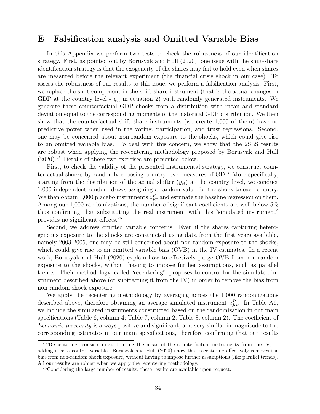## E Falsification analysis and Omitted Variable Bias

In this Appendix we perform two tests to check the robustness of our identification strategy. First, as pointed out by Borusyak and Hull (2020), one issue with the shift-share identification strategy is that the exogeneity of the shares may fail to hold even when shares are measured before the relevant experiment (the financial crisis shock in our case). To assess the robustness of our results to this issue, we perform a falsification analysis. First, we replace the shift component in the shift-share instrument (that is the actual changes in GDP at the country level -  $y_{ct}$  in equation 2) with randomly generated instruments. We generate these counterfactual GDP shocks from a distribution with mean and standard deviation equal to the corresponding moments of the historical GDP distribution. We then show that the counterfactual shift share instruments (we create 1,000 of them) have no predictive power when used in the voting, participation, and trust regressions. Second, one may be concerned about non-random exposure to the shocks, which could give rise to an omitted variable bias. To deal with this concern, we show that the 2SLS results are robust when applying the re-centering methodology proposed by Borusyak and Hull (2020).<sup>25</sup> Details of these two exercises are presented below.

First, to check the validity of the presented instrumental strategy, we construct counterfactual shocks by randomly choosing country-level measures of GDP. More specifically, starting from the distribution of the actual shifter  $(y_{ct})$  at the country level, we conduct 1,000 independent random draws assigning a random value for the shock to each country. We then obtain 1,000 placebo instruments  $z_{jet}^P$  and estimate the baseline regression on them. Among our 1,000 randomizations, the number of significant coefficients are well below 5% thus confirming that substituting the real instrument with this "simulated instrument" provides no significant effects.<sup>26</sup>

Second, we address omitted variable concerns. Even if the shares capturing heterogeneous exposure to the shocks are constructed using data from the first years available, namely 2003-2005, one may be still concerned about non-random exposure to the shocks, which could give rise to an omitted variable bias (OVB) in the IV estimates. In a recent work, Borusyak and Hull (2020) explain how to effectively purge OVB from non-random exposure to the shocks, without having to impose further assumptions, such as parallel trends. Their methodology, called "recentering", proposes to control for the simulated instrument described above (or subtracting it from the IV) in order to remove the bias from non-random shock exposure.

We apply the recentering methodology by averaging across the 1,000 randomizations described above, therefore obtaining an average simulated instrument  $\bar{z}_{jet}^P$ . In Table A6, we include the simulated instruments constructed based on the randomization in our main specifications (Table 6, column 4; Table 7, column 2; Table 8, column 2). The coefficient of Economic insecurity is always positive and significant, and very similar in magnitude to the corresponding estimates in our main specifications, therefore confirming that our results

<sup>&</sup>lt;sup>25</sup> Re-centering" consists in subtracting the mean of the counterfactual instruments from the IV, or adding it as a control variable. Borusyak and Hull (2020) show that recentering effectively removes the bias from non-random shock exposure, without having to impose further assumptions (like parallel trends). All our results are robust when we apply the recentering methodology.

<sup>26</sup>Considering the large number of results, these results are available upon request.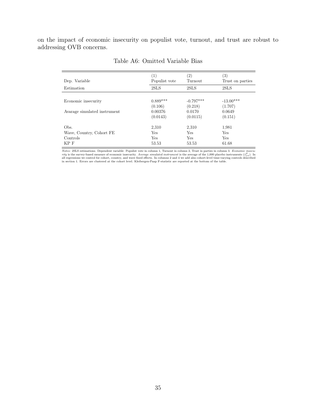on the impact of economic insecurity on populist vote, turnout, and trust are robust to addressing OVB concerns.

| Dep. Variable                | (1)<br>Populist vote | (2)<br>Turnout | (3)<br>Trust on parties |
|------------------------------|----------------------|----------------|-------------------------|
|                              |                      |                |                         |
| Estimation                   | 2SLS                 | 2SLS           | 2SLS                    |
|                              |                      |                |                         |
| Economic insecurity          | $0.889***$           | $-0.797***$    | $-13.00***$             |
|                              | (0.106)              | (0.218)        | (1.707)                 |
| Avarage simulated instrument | 0.00376              | 0.0170         | 0.0649                  |
|                              | (0.0143)             | (0.0115)       | (0.151)                 |
| Obs.                         | 2,310                | 2,310          | 1,981                   |
| Wave, Country, Cohort FE     | Yes                  | Yes            | Yes                     |
| Controls                     | Yes                  | Yes            | <b>Yes</b>              |
| KP F                         | 53.53                | 53.53          | 61.68                   |
|                              |                      |                |                         |

Table A6: Omitted Variable Bias

*Notes:* 2SLS estimations. Dependent variable: Populist vote in column 1, Turnout in column 2, Trust in parties in column 3. *Economic insecurity* is the survey-based measure of economic insecurity. Average simulated inst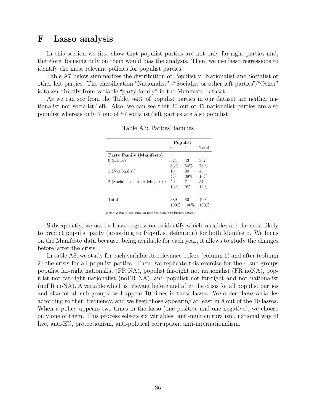## F Lasso analysis

In this section we first show that populist parties are not only far-right parties and, therefore, focusing only on them would bias the analysis. Then, we use lasso regressions to identify the most relevant policies for populist parties.

Table A7 below summarizes the distribution of Populist v. Nationalist and Socialist or other left parties. The classification "Nationalist" /"Socialist or other left parties"/"Other" is taken directly from variable "party family" in the Manifesto dataset.

As we can see from the Table, 54% of populist parties in our dataset are neither nationalist nor socialist/left. Also, we can see that 30 out of 45 nationalist parties are also populist whereas only 7 out of 57 socialist/left parties are also populist.

|                                   |          | Populist |       |
|-----------------------------------|----------|----------|-------|
|                                   | $\theta$ |          | Total |
| Party Family (Manifesto)          |          |          |       |
| $0$ (Other)                       | 324      | 43       | 367   |
|                                   | 83%      | 54%      | 78%   |
| 1 (Nationalist)                   | 15       | 30       | 45    |
|                                   | $4\%$    | 38%      | 10%   |
| 2 (Socialist or other left party) | 50       | 7        | 57    |
|                                   | 13%      | 9%       | 12%   |
|                                   |          |          |       |
| Total                             | 389      | 80       | 469   |
|                                   | 100%     | 100%     | 100%  |

Table A7: Parties' families

Notes: Authors' computation from the Manifesto Project dataset.

Subsequently, we used a Lasso regression to identify which variables are the most likely to predict populist party (according to PopuList definition) for both Manifesto. We focus on the Manifesto data because, being available for each year, it allows to study the changes before/after the crisis.

In table A8, we study for each variable its relevance before (column 1) and after (column 2) the crisis for all populist parties. Then, we replicate this exercise for the 4 sub-groups populist far-right nationalist (FR NA), populist far-right not nationalist (FR noNA), populist not far-right nationalist (noFR NA), and populist not far-right and not nationalist (noFR noNA). A variable which is relevant before and after the crisis for all populist parties and also for all sub-groups, will appear 10 times in these lassos. We order these variables according to their frequency, and we keep those appearing at least in 8 out of the 10 lassos. When a policy appears two times in the lasso (one positive and one negative), we choose only one of them. This process selects six variables: anti-multiculturalism, national way of live, anti-EU, protectionism, anti-political corruption, anti-internationalism.